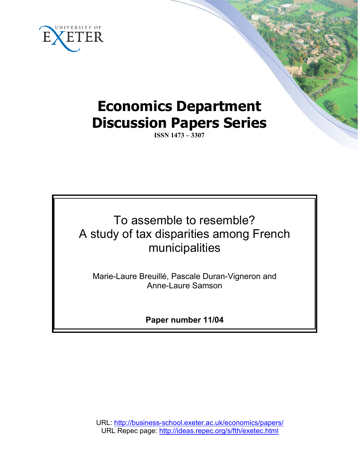

# **Economics Department Discussion Papers Series**

**ISSN 1473 – 3307**

# To assemble to resemble? A study of tax disparities among French municipalities

Marie-Laure Breuillé, Pascale Duran-Vigneron and Anne-Laure Samson

**Paper number 11/04**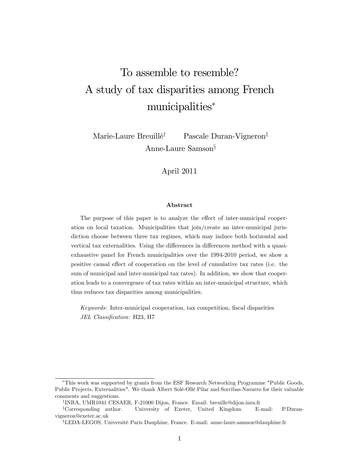# To assemble to resemble? A study of tax disparities among French municipalities

Marie-Laure Breuillé<sup>†</sup> Pascale Duran-Vigneron<sup>‡</sup> Anne-Laure Samson $\S$ 

April 2011

#### Abstract

The purpose of this paper is to analyze the effect of inter-municipal cooperation on local taxation. Municipalities that join/create an inter-municipal jurisdiction choose between three tax regimes, which may induce both horizontal and vertical tax externalities. Using the differences in differences method with a quasiexhaustive panel for French municipalities over the 1994-2010 period, we show a positive causal effect of cooperation on the level of cumulative tax rates (i.e. the sum of municipal and inter-municipal tax rates). In addition, we show that cooperation leads to a convergence of tax rates within an inter-municipal structure, which thus reduces tax disparities among municipalities.

Keywords: Inter-municipal cooperation, tax competition, fiscal disparities JEL Classification: H23, H7

This work was supported by grants from the ESF Research Networking Programme "Public Goods, Public Projects, Externalities". We thank Albert Solé-Ollé Pilar and Sorribas-Navarro for their valuable comments and suggestions.

<sup>&</sup>lt;sup>†</sup>INRA, UMR1041 CESAER, F-21000 Dijon, France. Email: breuille@dijon.inra.fr

<sup>z</sup>Corresponding author. University of Exeter, United Kingdom. E-mail: P.Duranvigneron@exeter.ac.uk

<sup>x</sup>LEDA-LEGOS, Université Paris Dauphine, France. E-mail: anne-laure.samson@dauphine.fr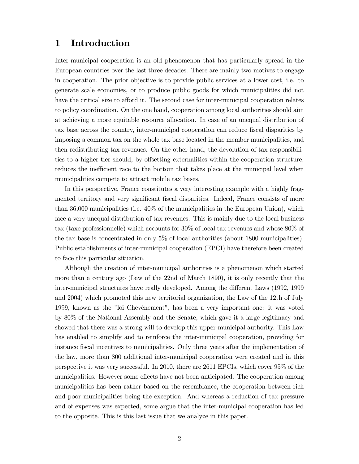## 1 Introduction

Inter-municipal cooperation is an old phenomenon that has particularly spread in the European countries over the last three decades. There are mainly two motives to engage in cooperation. The prior objective is to provide public services at a lower cost, i.e. to generate scale economies, or to produce public goods for which municipalities did not have the critical size to afford it. The second case for inter-municipal cooperation relates to policy coordination. On the one hand, cooperation among local authorities should aim at achieving a more equitable resource allocation. In case of an unequal distribution of tax base across the country, inter-municipal cooperation can reduce fiscal disparities by imposing a common tax on the whole tax base located in the member municipalities, and then redistributing tax revenues. On the other hand, the devolution of tax responsibilities to a higher tier should, by offsetting externalities within the cooperation structure, reduces the inefficient race to the bottom that takes place at the municipal level when municipalities compete to attract mobile tax bases.

In this perspective, France constitutes a very interesting example with a highly fragmented territory and very significant fiscal disparities. Indeed, France consists of more than 36,000 municipalities (i.e.  $40\%$  of the municipalities in the European Union), which face a very unequal distribution of tax revenues. This is mainly due to the local business tax (taxe professionnelle) which accounts for 30% of local tax revenues and whose 80% of the tax base is concentrated in only 5% of local authorities (about 1800 municipalities). Public establishments of inter-municipal cooperation (EPCI) have therefore been created to face this particular situation.

Although the creation of inter-municipal authorities is a phenomenon which started more than a century ago (Law of the 22nd of March 1890), it is only recently that the inter-municipal structures have really developed. Among the different Laws (1992, 1999) and 2004) which promoted this new territorial organization, the Law of the 12th of July 1999, known as the "loi Chevènement", has been a very important one: it was voted by 80% of the National Assembly and the Senate, which gave it a large legitimacy and showed that there was a strong will to develop this upper-municipal authority. This Law has enabled to simplify and to reinforce the inter-municipal cooperation, providing for instance fiscal incentives to municipalities. Only three years after the implementation of the law, more than 800 additional inter-municipal cooperation were created and in this perspective it was very successful. In 2010, there are 2611 EPCIs, which cover 95% of the municipalities. However some effects have not been anticipated. The cooperation among municipalities has been rather based on the resemblance, the cooperation between rich and poor municipalities being the exception. And whereas a reduction of tax pressure and of expenses was expected, some argue that the inter-municipal cooperation has led to the opposite. This is this last issue that we analyze in this paper.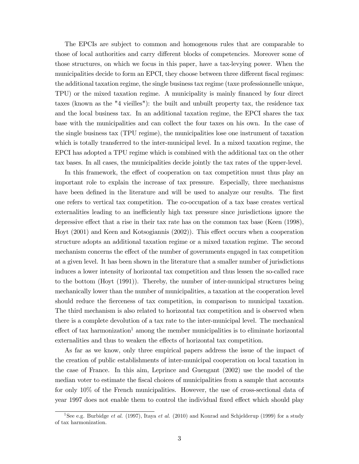The EPCIs are subject to common and homogenous rules that are comparable to those of local authorities and carry different blocks of competencies. Moreover some of those structures, on which we focus in this paper, have a tax-levying power. When the municipalities decide to form an EPCI, they choose between three different fiscal regimes: the additional taxation regime, the single business tax regime (taxe professionnelle unique, TPU) or the mixed taxation regime. A municipality is mainly financed by four direct taxes (known as the "4 vieilles"): the built and unbuilt property tax, the residence tax and the local business tax. In an additional taxation regime, the EPCI shares the tax base with the municipalities and can collect the four taxes on his own. In the case of the single business tax (TPU regime), the municipalities lose one instrument of taxation which is totally transferred to the inter-municipal level. In a mixed taxation regime, the EPCI has adopted a TPU regime which is combined with the additional tax on the other tax bases. In all cases, the municipalities decide jointly the tax rates of the upper-level.

In this framework, the effect of cooperation on tax competition must thus play an important role to explain the increase of tax pressure. Especially, three mechanisms have been defined in the literature and will be used to analyze our results. The first one refers to vertical tax competition. The co-occupation of a tax base creates vertical externalities leading to an inefficiently high tax pressure since jurisdictions ignore the depressive effect that a rise in their tax rate has on the common tax base (Keen  $(1998)$ , Hoyt (2001) and Keen and Kotsogiannis (2002)). This effect occurs when a cooperation structure adopts an additional taxation regime or a mixed taxation regime. The second mechanism concerns the effect of the number of governments engaged in tax competition at a given level. It has been shown in the literature that a smaller number of jurisdictions induces a lower intensity of horizontal tax competition and thus lessen the so-called race to the bottom (Hoyt (1991)). Thereby, the number of inter-municipal structures being mechanically lower than the number of municipalities, a taxation at the cooperation level should reduce the fierceness of tax competition, in comparison to municipal taxation. The third mechanism is also related to horizontal tax competition and is observed when there is a complete devolution of a tax rate to the inter-municipal level. The mechanical effect of tax harmonization<sup>1</sup> among the member municipalities is to eliminate horizontal externalities and thus to weaken the effects of horizontal tax competition.

As far as we know, only three empirical papers address the issue of the impact of the creation of public establishments of inter-municipal cooperation on local taxation in the case of France. In this aim, Leprince and Guengant (2002) use the model of the median voter to estimate the fiscal choices of municipalities from a sample that accounts for only 10% of the French municipalities. However, the use of cross-sectional data of year 1997 does not enable them to control the individual fixed effect which should play

<sup>&</sup>lt;sup>1</sup>See e.g. Burbidge *et al.* (1997), Itaya *et al.* (2010) and Konrad and Schjelderup (1999) for a study of tax harmonization.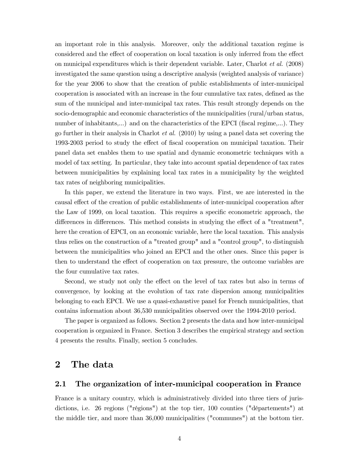an important role in this analysis. Moreover, only the additional taxation regime is considered and the effect of cooperation on local taxation is only inferred from the effect on municipal expenditures which is their dependent variable. Later, Charlot et al. (2008) investigated the same question using a descriptive analysis (weighted analysis of variance) for the year 2006 to show that the creation of public establishments of inter-municipal cooperation is associated with an increase in the four cumulative tax rates, defined as the sum of the municipal and inter-municipal tax rates. This result strongly depends on the socio-demographic and economic characteristics of the municipalities (rural/urban status, number of inhabitants,...) and on the characteristics of the EPCI (fiscal regime,...). They go further in their analysis in Charlot *et al.* (2010) by using a panel data set covering the 1993-2003 period to study the effect of fiscal cooperation on municipal taxation. Their panel data set enables them to use spatial and dynamic econometric techniques with a model of tax setting. In particular, they take into account spatial dependence of tax rates between municipalities by explaining local tax rates in a municipality by the weighted tax rates of neighboring municipalities.

In this paper, we extend the literature in two ways. First, we are interested in the causal effect of the creation of public establishments of inter-municipal cooperation after the Law of 1999, on local taxation. This requires a specific econometric approach, the differences in differences. This method consists in studying the effect of a "treatment", here the creation of EPCI, on an economic variable, here the local taxation. This analysis thus relies on the construction of a "treated group" and a "control group", to distinguish between the municipalities who joined an EPCI and the other ones. Since this paper is then to understand the effect of cooperation on tax pressure, the outcome variables are the four cumulative tax rates.

Second, we study not only the effect on the level of tax rates but also in terms of convergence, by looking at the evolution of tax rate dispersion among municipalities belonging to each EPCI. We use a quasi-exhaustive panel for French municipalities, that contains information about 36,530 municipalities observed over the 1994-2010 period.

The paper is organized as follows. Section 2 presents the data and how inter-municipal cooperation is organized in France. Section 3 describes the empirical strategy and section 4 presents the results. Finally, section 5 concludes.

## 2 The data

#### 2.1 The organization of inter-municipal cooperation in France

France is a unitary country, which is administratively divided into three tiers of jurisdictions, i.e. 26 regions ("régions") at the top tier, 100 counties ("départements") at the middle tier, and more than 36,000 municipalities ("communes") at the bottom tier.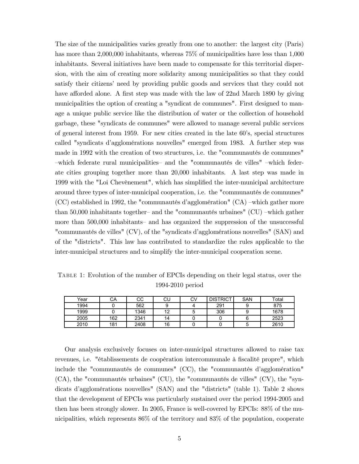The size of the municipalities varies greatly from one to another: the largest city (Paris) has more than 2,000,000 inhabitants, whereas  $75\%$  of municipalities have less than 1,000 inhabitants. Several initiatives have been made to compensate for this territorial dispersion, with the aim of creating more solidarity among municipalities so that they could satisfy their citizens' need by providing public goods and services that they could not have afforded alone. A first step was made with the law of 22nd March 1890 by giving municipalities the option of creating a "syndicat de communes". First designed to manage a unique public service like the distribution of water or the collection of household garbage, these "syndicats de communes" were allowed to manage several public services of general interest from 1959. For new cities created in the late 60's, special structures called "syndicats d'agglomérations nouvelles" emerged from 1983. A further step was made in 1992 with the creation of two structures, i.e. the "communautés de communes" -which federate rural municipalities and the "communautés de villes" -which federate cities grouping together more than 20,000 inhabitants. A last step was made in 1999 with the "Loi Chevènement", which has simplied the inter-municipal architecture around three types of inter-municipal cooperation, i.e. the "communautés de communes"  $(CC)$  established in 1992, the "communautés d'agglomération"  $(CA)$  -which gather more than 50,000 inhabitants together- and the "communautés urbaines" (CU) -which gather more than 500,000 inhabitants and has organized the suppression of the unsuccessful "communautés de villes" (CV), of the "syndicats d'agglomérations nouvelles" (SAN) and of the "districts". This law has contributed to standardize the rules applicable to the inter-municipal structures and to simplify the inter-municipal cooperation scene.

Table 1: Evolution of the number of EPCIs depending on their legal status, over the 1994-2010 period

| Year | СA  | CС   | CU | CV | <b>DISTRICT</b> | <b>SAN</b> | Total |
|------|-----|------|----|----|-----------------|------------|-------|
| 1994 |     | 562  |    |    | 291             |            | 875   |
| 1999 |     | 1346 | 10 | w  | 306             |            | 1678  |
| 2005 | 162 | 2341 | 14 |    |                 |            | 2523  |
| 2010 | 181 | 2408 | 16 |    |                 |            | 2610  |

Our analysis exclusively focuses on inter-municipal structures allowed to raise tax revenues, i.e. "établissements de coopération intercommunale à fiscalité propre", which include the "communautés de communes" (CC), the "communautés d'agglomération" (CA), the "communautés urbaines" (CU), the "communautés de villes" (CV), the "syndicats d'agglomérations nouvelles" (SAN) and the "districts" (table 1). Table 2 shows that the development of EPCIs was particularly sustained over the period 1994-2005 and then has been strongly slower. In 2005, France is well-covered by EPCIs: 88% of the municipalities, which represents 86% of the territory and 83% of the population, cooperate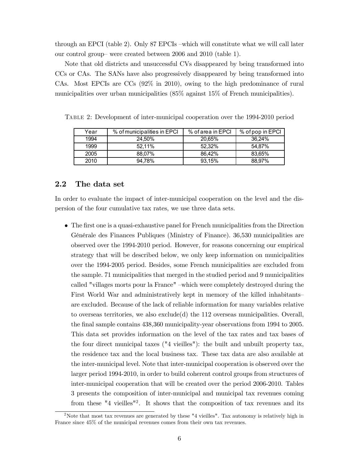through an EPCI (table 2). Only 87 EPCIs –which will constitute what we will call later our control group- were created between 2006 and 2010 (table 1).

Note that old districts and unsuccessful CVs disappeared by being transformed into CCs or CAs. The SANs have also progressively disappeared by being transformed into CAs. Most EPCIs are CCs (92% in 2010), owing to the high predominance of rural municipalities over urban municipalities (85% against 15% of French municipalities).

| Year | % of municipalities in EPCI | % of area in EPCI | % of pop in EPCI |
|------|-----------------------------|-------------------|------------------|
| 1994 | 24.50%                      | 20.65%            | 36.24%           |
| 1999 | 52.11%                      | 52.32%            | 54.87%           |
| 2005 | 88.07%                      | 86.42%            | 83.65%           |
| 2010 | 94.78%                      | 93.15%            | 88,97%           |

Table 2: Development of inter-municipal cooperation over the 1994-2010 period

### 2.2 The data set

In order to evaluate the impact of inter-municipal cooperation on the level and the dispersion of the four cumulative tax rates, we use three data sets.

 $\bullet$  The first one is a quasi-exhaustive panel for French municipalities from the Direction Générale des Finances Publiques (Ministry of Finance). 36,530 municipalities are observed over the 1994-2010 period. However, for reasons concerning our empirical strategy that will be described below, we only keep information on municipalities over the 1994-2005 period. Besides, some French municipalities are excluded from the sample. 71 municipalities that merged in the studied period and 9 municipalities called "villages morts pour la France" -which were completely destroyed during the First World War and administratively kept in memory of the killed inhabitants are excluded. Because of the lack of reliable information for many variables relative to overseas territories, we also exclude(d) the 112 overseas municipalities. Overall, the final sample contains 438,360 municipality-year observations from 1994 to 2005. This data set provides information on the level of the tax rates and tax bases of the four direct municipal taxes ("4 vieilles"): the built and unbuilt property tax, the residence tax and the local business tax. These tax data are also available at the inter-municipal level. Note that inter-municipal cooperation is observed over the larger period 1994-2010, in order to build coherent control groups from structures of inter-municipal cooperation that will be created over the period 2006-2010. Tables 3 presents the composition of inter-municipal and municipal tax revenues coming from these "4 vieilles"<sup>2</sup>. It shows that the composition of tax revenues and its

<sup>&</sup>lt;sup>2</sup>Note that most tax revenues are generated by these "4 vieilles". Tax autonomy is relatively high in France since 45% of the municipal revenues comes from their own tax revenues.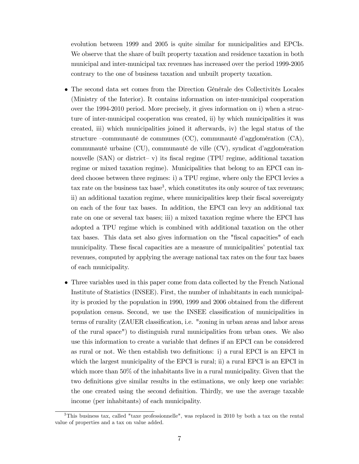evolution between 1999 and 2005 is quite similar for municipalities and EPCIs. We observe that the share of built property taxation and residence taxation in both municipal and inter-municipal tax revenues has increased over the period 1999-2005 contrary to the one of business taxation and unbuilt property taxation.

- The second data set comes from the Direction Générale des Collectivités Locales (Ministry of the Interior). It contains information on inter-municipal cooperation over the 1994-2010 period. More precisely, it gives information on i) when a structure of inter-municipal cooperation was created, ii) by which municipalities it was created, iii) which municipalities joined it afterwards, iv) the legal status of the structure – communauté de communes (CC), communauté d'agglomération  $(CA)$ , communauté urbaine  $(CU)$ , communauté de ville  $(CV)$ , syndicat d'agglomération nouvelle  $(SAN)$  or district-v) its fiscal regime (TPU regime, additional taxation regime or mixed taxation regime). Municipalities that belong to an EPCI can indeed choose between three regimes: i) a TPU regime, where only the EPCI levies a  $\text{tax rate on the business tax base}^3$ , which constitutes its only source of tax revenues; ii) an additional taxation regime, where municipalities keep their fiscal sovereignty on each of the four tax bases. In addition, the EPCI can levy an additional tax rate on one or several tax bases; iii) a mixed taxation regime where the EPCI has adopted a TPU regime which is combined with additional taxation on the other tax bases. This data set also gives information on the "fiscal capacities" of each municipality. These fiscal capacities are a measure of municipalities' potential tax revenues, computed by applying the average national tax rates on the four tax bases of each municipality.
- Three variables used in this paper come from data collected by the French National Institute of Statistics (INSEE). First, the number of inhabitants in each municipality is proxied by the population in 1990, 1999 and 2006 obtained from the different population census. Second, we use the INSEE classication of municipalities in terms of rurality (ZAUER classification, i.e. "zoning in urban areas and labor areas of the rural space") to distinguish rural municipalities from urban ones. We also use this information to create a variable that denes if an EPCI can be considered as rural or not. We then establish two denitions: i) a rural EPCI is an EPCI in which the largest municipality of the EPCI is rural; ii) a rural EPCI is an EPCI in which more than 50% of the inhabitants live in a rural municipality. Given that the two definitions give similar results in the estimations, we only keep one variable: the one created using the second denition. Thirdly, we use the average taxable income (per inhabitants) of each municipality.

<sup>3</sup>This business tax, called "taxe professionnelle", was replaced in 2010 by both a tax on the rental value of properties and a tax on value added.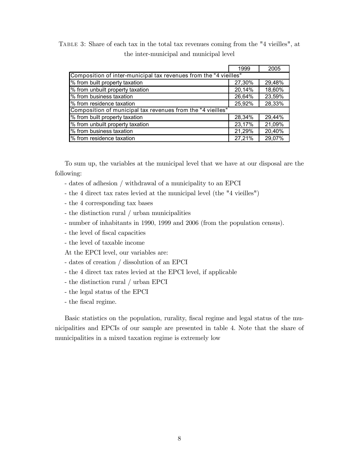Table 3: Share of each tax in the total tax revenues coming from the "4 vieilles", at the inter-municipal and municipal level

|                                                                   | 1999   | 2005   |  |  |  |  |
|-------------------------------------------------------------------|--------|--------|--|--|--|--|
| Composition of inter-municipal tax revenues from the "4 vieilles" |        |        |  |  |  |  |
| % from built property taxation                                    | 27,30% | 29,48% |  |  |  |  |
| % from unbuilt property taxation                                  | 20,14% | 18,60% |  |  |  |  |
| % from business taxation                                          | 26,64% | 23,59% |  |  |  |  |
| % from residence taxation                                         | 25.92% | 28,33% |  |  |  |  |
| Composition of municipal tax revenues from the "4 vieilles"       |        |        |  |  |  |  |
| % from built property taxation                                    | 28,34% | 29,44% |  |  |  |  |
| % from unbuilt property taxation                                  | 23,17% | 21,09% |  |  |  |  |
| % from business taxation                                          | 21,29% | 20,40% |  |  |  |  |
| % from residence taxation                                         | 27,21% | 29,07% |  |  |  |  |

To sum up, the variables at the municipal level that we have at our disposal are the following:

- dates of adhesion / withdrawal of a municipality to an EPCI
- the 4 direct tax rates levied at the municipal level (the "4 vieilles")
- the 4 corresponding tax bases
- the distinction rural / urban municipalities
- number of inhabitants in 1990, 1999 and 2006 (from the population census).
- the level of fiscal capacities
- the level of taxable income

At the EPCI level, our variables are:

- dates of creation / dissolution of an EPCI
- the 4 direct tax rates levied at the EPCI level, if applicable
- the distinction rural / urban EPCI
- the legal status of the EPCI
- the fiscal regime.

Basic statistics on the population, rurality, fiscal regime and legal status of the municipalities and EPCIs of our sample are presented in table 4. Note that the share of municipalities in a mixed taxation regime is extremely low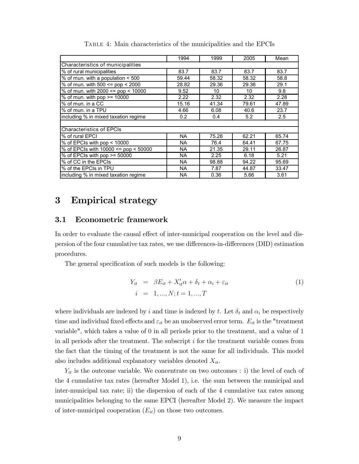|                                      | 1994      | 1999  | 2005  | Mean  |
|--------------------------------------|-----------|-------|-------|-------|
| Characteristics of municipalities    |           |       |       |       |
| % of rural municipalities            | 83.7      | 83.7  | 83.7  | 83.7  |
| % of mun. with a population < 500    | 59.44     | 58.32 | 58.32 | 58.8  |
| % of mun. with 500 <= pop < 2000     | 28.82     | 29.36 | 29.36 | 29.1  |
| % of mun. with 2000 <= pop < 10000   | 9.52      | 10    | 10    | 9.8   |
| $%$ of mun. with pop $>=$ 10000      | 2.22      | 2.32  | 2.32  | 2.28  |
| % of mun. in a CC                    | 15.16     | 41.34 | 79.61 | 47.89 |
| % of mun. in a TPU                   | 4.66      | 6.08  | 40.6  | 23.7  |
| including % in mixed taxation regime | 0.2       | 0.4   | 5.2   | 2.5   |
|                                      |           |       |       |       |
| <b>Characteristics of EPCIs</b>      |           |       |       |       |
| % of rural EPCI                      | <b>NA</b> | 75.28 | 62.21 | 65.74 |
| % of EPCIs with pop < 10000          | <b>NA</b> | 76.4  | 64.41 | 67.75 |
| % of EPCIs with 10000 <= pop < 50000 | NA.       | 21.35 | 29.11 | 26.87 |
| % of EPCIs with $pop \ge 50000$      | <b>NA</b> | 2.25  | 6.18  | 5.21  |
| % of CC in the EPCIs                 | NA.       | 98.88 | 94.22 | 95.69 |
| % of the EPCIs in TPU                | NA        | 7.87  | 44.87 | 33.47 |
| including % in mixed taxation regime | ΝA        | 0.36  | 5.66  | 3.61  |

Table 4: Main characteristics of the municipalities and the EPCIs

## 3 Empirical strategy

### 3.1 Econometric framework

In order to evaluate the causal effect of inter-municipal cooperation on the level and dispersion of the four cumulative tax rates, we use differences-in-differences (DID) estimation procedures.

The general specification of such models is the following:

$$
Y_{it} = \beta E_{it} + X_{it}' \alpha + \delta_t + \alpha_i + \varepsilon_{it}
$$
  
\n
$$
i = 1, ..., N; t = 1, ..., T
$$
\n(1)

where individuals are indexed by i and time is indexed by t. Let  $\delta_t$  and  $\alpha_i$  be respectively time and individual fixed effects and  $\varepsilon_{it}$  be an unobserved error term.  $E_{it}$  is the "treatment" variable", which takes a value of 0 in all periods prior to the treatment, and a value of 1 in all periods after the treatment. The subscript i for the treatment variable comes from the fact that the timing of the treatment is not the same for all individuals. This model also includes additional explanatory variables denoted  $X_{it}$ .

 $Y_{it}$  is the outcome variable. We concentrate on two outcomes : i) the level of each of the 4 cumulative tax rates (hereafter Model 1), i.e. the sum between the municipal and inter-municipal tax rate; ii) the dispersion of each of the 4 cumulative tax rates among municipalities belonging to the same EPCI (hereafter Model 2). We measure the impact of inter-municipal cooperation  $(E_{it})$  on those two outcomes.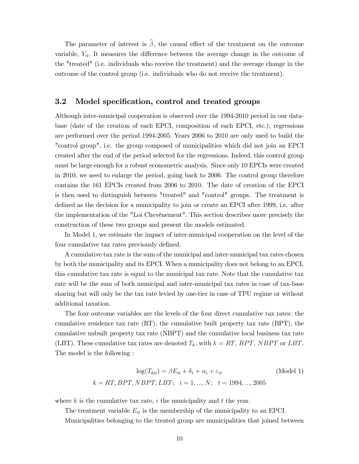The parameter of interest is  $\hat{\beta}$ , the causal effect of the treatment on the outcome variable,  $Y_{it}$ . It measures the difference between the average change in the outcome of the "treated" (i.e. individuals who receive the treatment) and the average change in the outcome of the control group (i.e. individuals who do not receive the treatment).

#### 3.2 Model specification, control and treated groups

Although inter-municipal cooperation is observed over the 1994-2010 period in our database (date of the creation of each EPCI, composition of each EPCI, etc.), regressions are performed over the period 1994-2005. Years 2006 to 2010 are only used to build the "control group", i.e. the group composed of municipalities which did not join an EPCI created after the end of the period selected for the regressions. Indeed, this control group must be large enough for a robust econometric analysis. Since only 10 EPCIs were created in 2010, we need to enlarge the period, going back to 2006. The control group therefore contains the 161 EPCIs created from 2006 to 2010. The date of creation of the EPCI is then used to distinguish between "treated" and "control" groups. The treatment is defined as the decision for a municipality to join or create an EPCI after 1999, i.e. after the implementation of the "Loi Chevènement". This section describes more precisely the construction of these two groups and present the models estimated.

In Model 1, we estimate the impact of inter-municipal cooperation on the level of the four cumulative tax rates previously defined.

A cumulative tax rate is the sum of the municipal and inter-municipal tax rates chosen by both the municipality and its EPCI. When a municipality does not belong to an EPCI, this cumulative tax rate is equal to the municipal tax rate. Note that the cumulative tax rate will be the sum of both municipal and inter-municipal tax rates in case of tax-base sharing but will only be the tax rate levied by one-tier in case of TPU regime or without additional taxation.

The four outcome variables are the levels of the four direct cumulative tax rates: the cumulative residence tax rate (RT), the cumulative built property tax rate (BPT), the cumulative unbuilt property tax rate (NBPT) and the cumulative local business tax rate (LBT). These cumulative tax rates are denoted  $T_k$ , with  $k = RT$ , BPT, NBPT or LBT. The model is the following :

$$
\log(T_{kit}) = \beta E_{it} + \delta_t + \alpha_i + \varepsilon_{it}
$$
 (Model 1)  

$$
k = RT, BPT, NBPT, LBT; \quad i = 1, ..., N; \quad t = 1994, ..., 2005
$$

where  $k$  is the cumulative tax rate,  $i$  the municipality and  $t$  the year.

The treatment variable  $E_{it}$  is the membership of the municipality to an EPCI.

Municipalities belonging to the treated group are municipalities that joined between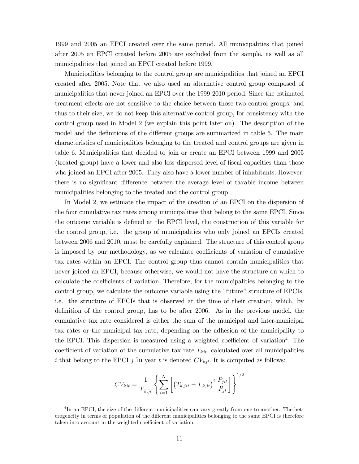1999 and 2005 an EPCI created over the same period. All municipalities that joined after 2005 an EPCI created before 2005 are excluded from the sample, as well as all municipalities that joined an EPCI created before 1999.

Municipalities belonging to the control group are municipalities that joined an EPCI created after 2005. Note that we also used an alternative control group composed of municipalities that never joined an EPCI over the 1999-2010 period. Since the estimated treatment effects are not sensitive to the choice between those two control groups, and thus to their size, we do not keep this alternative control group, for consistency with the control group used in Model 2 (we explain this point later on). The description of the model and the definitions of the different groups are summarized in table 5. The main characteristics of municipalities belonging to the treated and control groups are given in table 6. Municipalities that decided to join or create an EPCI between 1999 and 2005 (treated group) have a lower and also less dispersed level of fiscal capacities than those who joined an EPCI after 2005. They also have a lower number of inhabitants. However, there is no significant difference between the average level of taxable income between municipalities belonging to the treated and the control group.

In Model 2, we estimate the impact of the creation of an EPCI on the dispersion of the four cumulative tax rates among municipalities that belong to the same EPCI. Since the outcome variable is defined at the EPCI level, the construction of this variable for the control group, i.e. the group of municipalities who only joined an EPCIs created between 2006 and 2010, must be carefully explained. The structure of this control group is imposed by our methodology, as we calculate coefficients of variation of cumulative tax rates within an EPCI. The control group thus cannot contain municipalities that never joined an EPCI, because otherwise, we would not have the structure on which to calculate the coefficients of variation. Therefore, for the municipalities belonging to the control group, we calculate the outcome variable using the "future" structure of EPCIs, i.e. the structure of EPCIs that is observed at the time of their creation, which, by definition of the control group, has to be after  $2006$ . As in the previous model, the cumulative tax rate considered is either the sum of the municipal and inter-municipal tax rates or the municipal tax rate, depending on the adhesion of the municipality to the EPCI. This dispersion is measured using a weighted coefficient of variation<sup>4</sup>. The coefficient of variation of the cumulative tax rate  $T_{kjt}$ , calculated over all municipalities i that belong to the EPCI j in year t is denoted  $CV_{kjt}$ . It is computed as follows:

$$
CV_{kjt} = \frac{1}{\overline{T}_{k,jt}} \left\{ \sum_{i=1}^{N} \left[ \left( T_{k,jit} - \overline{T}_{k,jt} \right)^2 \frac{P_{jit}}{P_{jt}} \right] \right\}^{1/2}
$$

<sup>&</sup>lt;sup>4</sup>In an EPCI, the size of the different municipalities can vary greatly from one to another. The heterogeneity in terms of population of the different municipalities belonging to the same EPCI is therefore taken into account in the weighted coefficient of variation.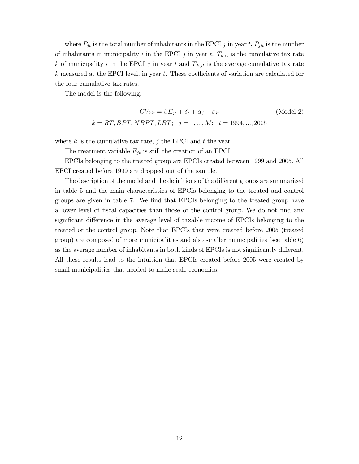where  $P_{jt}$  is the total number of inhabitants in the EPCI j in year t,  $P_{jit}$  is the number of inhabitants in municipality i in the EPCI j in year t.  $T_{k,it}$  is the cumulative tax rate k of municipality i in the EPCI j in year t and  $\overline{T}_{k,jt}$  is the average cumulative tax rate  $k$  measured at the EPCI level, in year  $t$ . These coefficients of variation are calculated for the four cumulative tax rates.

The model is the following:

$$
CV_{kjt} = \beta E_{jt} + \delta_t + \alpha_j + \varepsilon_{jt}
$$
 (Model 2)  
 $k = RT, BPT, NBPT, LBT; j = 1, ..., M; t = 1994, ..., 2005$ 

where  $k$  is the cumulative tax rate,  $j$  the EPCI and  $t$  the year.

The treatment variable  $E_{jt}$  is still the creation of an EPCI.

EPCIs belonging to the treated group are EPCIs created between 1999 and 2005. All EPCI created before 1999 are dropped out of the sample.

The description of the model and the definitions of the different groups are summarized in table 5 and the main characteristics of EPCIs belonging to the treated and control groups are given in table 7. We find that EPCIs belonging to the treated group have a lower level of fiscal capacities than those of the control group. We do not find any significant difference in the average level of taxable income of EPCIs belonging to the treated or the control group. Note that EPCIs that were created before 2005 (treated group) are composed of more municipalities and also smaller municipalities (see table 6) as the average number of inhabitants in both kinds of EPCIs is not significantly different. All these results lead to the intuition that EPCIs created before 2005 were created by small municipalities that needed to make scale economies.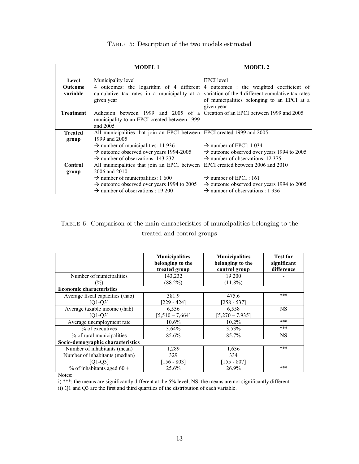|                  | <b>MODEL 1</b>                                                          | <b>MODEL 2</b>                                         |
|------------------|-------------------------------------------------------------------------|--------------------------------------------------------|
|                  |                                                                         |                                                        |
| Level            | Municipality level                                                      | EPCI level                                             |
| Outcome          | 4 outcomes: the logarithm of 4 different                                | 4 outcomes : the weighted coefficient of               |
| variable         | cumulative tax rates in a municipality at a                             | variation of the 4 different cumulative tax rates      |
|                  | given year                                                              | of municipalities belonging to an EPCI at a            |
|                  |                                                                         | given year                                             |
| <b>Treatment</b> | Adhesion between 1999<br>and 2005<br>of a                               | Creation of an EPCI between 1999 and 2005              |
|                  | municipality to an EPCI created between 1999                            |                                                        |
|                  | and 2005                                                                |                                                        |
| <b>Treated</b>   | All municipalities that join an EPCI between EPCI created 1999 and 2005 |                                                        |
| group            | 1999 and 2005                                                           |                                                        |
|                  | $\rightarrow$ number of municipalities: 11 936                          | $\rightarrow$ number of EPCI: 1 034                    |
|                  | $\rightarrow$ outcome observed over years 1994-2005                     | $\rightarrow$ outcome observed over years 1994 to 2005 |
|                  | $\rightarrow$ number of observations: 143 232                           | $\rightarrow$ number of observations: 12 375           |
| <b>Control</b>   | All municipalities that join an EPCI between                            | EPCI created between 2006 and 2010                     |
| group            | 2006 and 2010                                                           |                                                        |
|                  | $\rightarrow$ number of municipalities: 1 600                           | $\rightarrow$ number of EPCI : 161                     |
|                  | $\rightarrow$ outcome observed over years 1994 to 2005                  | $\rightarrow$ outcome observed over years 1994 to 2005 |
|                  | $\rightarrow$ number of observations : 19 200                           | $\rightarrow$ number of observations : 1 936           |

#### Table 5: Description of the two models estimated

## TABLE 6: Comparison of the main characteristics of municipalities belonging to the treated and control groups

|                                       | <b>Municipalities</b><br>belonging to the<br>treated group | <b>Municipalities</b><br>belonging to the<br>control group | <b>Test for</b><br>significant<br>difference |
|---------------------------------------|------------------------------------------------------------|------------------------------------------------------------|----------------------------------------------|
| Number of municipalities              | 143,232                                                    | 19 200                                                     |                                              |
| $(\%)$                                | $(88.2\%)$                                                 | $(11.8\%)$                                                 |                                              |
| <b>Economic characteristics</b>       |                                                            |                                                            |                                              |
| Average fiscal capacities (/hab)      | 381.9                                                      | 475.6                                                      | ***                                          |
| $[Q1-Q3]$                             | $[229 - 424]$                                              | $[258 - 537]$                                              |                                              |
| Average taxable income (/hab)         | 6,556                                                      | 6,558                                                      | <b>NS</b>                                    |
| $[Q1-Q3]$                             | $[5,510 - 7,664]$                                          | $[5,270 - 7,935]$                                          |                                              |
| Average unemployment rate             | $10.6\%$                                                   | $10.2\%$                                                   | ***                                          |
| % of executives                       | 3.64%                                                      | $3.53\%$                                                   | ***                                          |
| $\frac{6}{6}$ of rural municipalities | 85.6%                                                      | 85.7%                                                      | <b>NS</b>                                    |
| Socio-demographic characteristics     |                                                            |                                                            |                                              |
| Number of inhabitants (mean)          | 1,289                                                      | 1,636                                                      | ***                                          |
| Number of inhabitants (median)        | 329                                                        | 334                                                        |                                              |
| [Q1-Q3]                               | $[156 - 803]$                                              | $[155 - 807]$                                              |                                              |
| $\%$ of inhabitants aged 60 +         | 25.6%                                                      | 26.9%                                                      | ***                                          |

Notes:

i) \*\*\*: the means are significantly different at the 5% level; NS: the means are not significantly different.

i) Q1 and Q3 are the first and third quartiles of the distribution of each variable.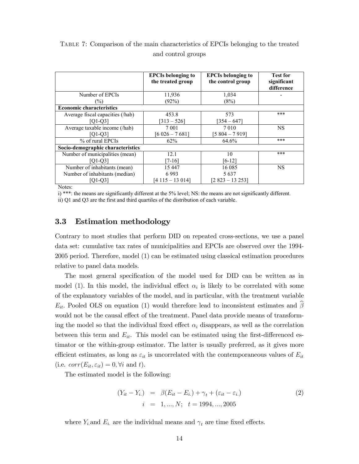|                                   | <b>EPCIs belonging to</b><br>the treated group | <b>EPCIs belonging to</b><br>the control group | <b>Test for</b><br>significant<br>difference |
|-----------------------------------|------------------------------------------------|------------------------------------------------|----------------------------------------------|
| Number of EPCIs                   | 11,936                                         | 1,034                                          |                                              |
| $(\%)$                            | (92%)                                          | (8%)                                           |                                              |
| <b>Economic characteristics</b>   |                                                |                                                |                                              |
| Average fiscal capacities (/hab)  | 453.8                                          | 573                                            | ***                                          |
| $[O1-O3]$                         | $[313 - 526]$                                  | $[354 - 647]$                                  |                                              |
| Average taxable income (/hab)     | 7 0 0 1                                        | 7 0 1 0                                        | <b>NS</b>                                    |
| $[Q1-Q3]$                         | $[6 026 - 7 681]$                              | $[5804 - 7919]$                                |                                              |
| % of rural EPCIs                  | 62%                                            | 64.6%                                          | ***                                          |
| Socio-demographic characteristics |                                                |                                                |                                              |
| Number of municipalities (mean)   | 12.1                                           | 10                                             | ***                                          |
| $[O1-O3]$                         | $[7-16]$                                       | [6-12]                                         |                                              |
| Number of inhabitants (mean)      | 15 447                                         | 16 08 5                                        | <b>NS</b>                                    |
| Number of inhabitants (median)    | 6993                                           | 5 6 3 7                                        |                                              |
| [O1-O3]                           | [4 115 – 13 014]                               | [2 823 – 13 253]                               |                                              |

Table 7: Comparison of the main characteristics of EPCIs belonging to the treated and control groups

Notes:

i) \*\*\*: the means are significantly different at the 5% level; NS: the means are not significantly different.

ii) Q1 and Q3 are the first and third quartiles of the distribution of each variable.

### 3.3 Estimation methodology

Contrary to most studies that perform DID on repeated cross-sections, we use a panel data set: cumulative tax rates of municipalities and EPCIs are observed over the 1994- 2005 period. Therefore, model (1) can be estimated using classical estimation procedures relative to panel data models.

The most general specification of the model used for DID can be written as in model (1). In this model, the individual effect  $\alpha_i$  is likely to be correlated with some of the explanatory variables of the model, and in particular, with the treatment variable  $E_{it}$ . Pooled OLS on equation (1) would therefore lead to inconsistent estimates and  $\beta$ would not be the causal effect of the treatment. Panel data provide means of transforming the model so that the individual fixed effect  $\alpha_i$  disappears, as well as the correlation between this term and  $E_{it}$ . This model can be estimated using the first-differenced estimator or the within-group estimator. The latter is usually preferred, as it gives more efficient estimates, as long as  $\varepsilon_{it}$  is uncorrelated with the contemporaneous values of  $E_{it}$ (i.e.  $corr(E_{it}, \varepsilon_{it}) = 0, \forall i$  and t).

The estimated model is the following:

$$
(Y_{it} - Y_{i.}) = \beta (E_{it} - E_{i.}) + \gamma_t + (\varepsilon_{it} - \varepsilon_{i.})
$$
  
\n $i = 1, ..., N; t = 1994, ..., 2005$  (2)

where  $Y_i$  and  $E_i$  are the individual means and  $\gamma_t$  are time fixed effects.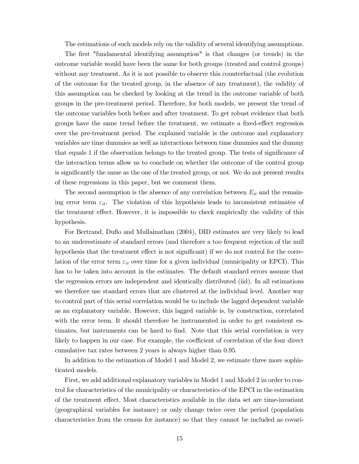The estimations of such models rely on the validity of several identifying assumptions.

The first "fundamental identifying assumption" is that changes (or trends) in the outcome variable would have been the same for both groups (treated and control groups) without any treatment. As it is not possible to observe this counterfactual (the evolution of the outcome for the treated group, in the absence of any treatment), the validity of this assumption can be checked by looking at the trend in the outcome variable of both groups in the pre-treatment period. Therefore, for both models, we present the trend of the outcome variables both before and after treatment. To get robust evidence that both groups have the same trend before the treatment, we estimate a fixed-effect regression over the pre-treatment period. The explained variable is the outcome and explanatory variables are time dummies as well as interactions between time dummies and the dummy that equals 1 if the observation belongs to the treated group. The tests of signicance of the interaction terms allow us to conclude on whether the outcome of the control group is signicantly the same as the one of the treated group, or not. We do not present results of these regressions in this paper, but we comment them.

The second assumption is the absence of any correlation between  $E_{it}$  and the remaining error term  $\varepsilon_{it}$ . The violation of this hypothesis leads to inconsistent estimates of the treatment effect. However, it is impossible to check empirically the validity of this hypothesis.

For Bertrand, Duflo and Mullainathan (2004), DID estimates are very likely to lead to an underestimate of standard errors (and therefore a too frequent rejection of the null hypothesis that the treatment effect is not significant) if we do not control for the correlation of the error term  $\varepsilon_{it}$  over time for a given individual (municipality or EPCI). This has to be taken into account in the estimates. The default standard errors assume that the regression errors are independent and identically distributed (iid). In all estimations we therefore use standard errors that are clustered at the individual level. Another way to control part of this serial correlation would be to include the lagged dependent variable as an explanatory variable. However, this lagged variable is, by construction, correlated with the error term. It should therefore be instrumented in order to get consistent estimates, but instruments can be hard to find. Note that this serial correlation is very likely to happen in our case. For example, the coefficient of correlation of the four direct cumulative tax rates between 2 years is always higher than 0.95.

In addition to the estimation of Model 1 and Model 2, we estimate three more sophisticated models.

First, we add additional explanatory variables in Model 1 and Model 2 in order to control for characteristics of the municipality or characteristics of the EPCI in the estimation of the treatment effect. Most characteristics available in the data set are time-invariant (geographical variables for instance) or only change twice over the period (population characteristics from the census for instance) so that they cannot be included as covari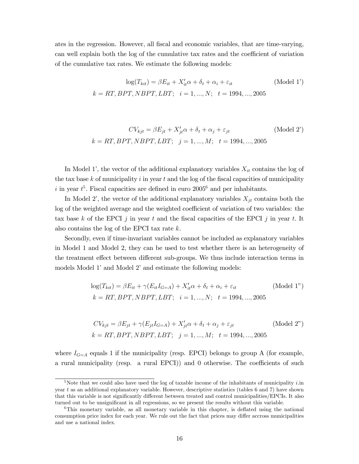ates in the regression. However, all fiscal and economic variables, that are time-varying, can well explain both the log of the cumulative tax rates and the coefficient of variation of the cumulative tax rates. We estimate the following models:

$$
\log(T_{kit}) = \beta E_{it} + X_{it}'\alpha + \delta_t + \alpha_i + \varepsilon_{it}
$$
 (Model 1')  

$$
k = RT, BPT, NBPT, LBT; \quad i = 1, ..., N; \quad t = 1994, ..., 2005
$$

$$
CV_{kjt} = \beta E_{jt} + X'_{jt}\alpha + \delta_t + \alpha_j + \varepsilon_{jt}
$$
 (Model 2')  

$$
k = RT, BPT, NBPT, LBT; \quad j = 1, ..., M; \quad t = 1994, ..., 2005
$$

In Model 1', the vector of the additional explanatory variables  $X_{it}$  contains the log of the tax base k of municipality i in year t and the log of the fiscal capacities of municipality i in year  $t^5$ . Fiscal capacities are defined in euro  $2005^6$  and per inhabitants.

In Model 2', the vector of the additional explanatory variables  $X_{jt}$  contains both the log of the weighted average and the weighted coefficient of variation of two variables: the tax base k of the EPCI j in year t and the fiscal capacities of the EPCI j in year t. It also contains the log of the EPCI tax rate k.

Secondly, even if time-invariant variables cannot be included as explanatory variables in Model 1 and Model 2, they can be used to test whether there is an heterogeneity of the treatment effect between different sub-groups. We thus include interaction terms in models Model 1' and Model 2' and estimate the following models:

$$
log(T_{kit}) = \beta E_{it} + \gamma (E_{it} I_{G=A}) + X_{it}' \alpha + \delta_t + \alpha_i + \varepsilon_{it}
$$
 (Model 1")  
\n
$$
k = RT, BPT, NBPT, LBT; \quad i = 1, ..., N; \quad t = 1994, ..., 2005
$$

$$
CV_{kjt} = \beta E_{jt} + \gamma (E_{jt} I_{G=A}) + X'_{jt} \alpha + \delta_t + \alpha_j + \varepsilon_{jt}
$$
 (Model 2")  

$$
k = RT, BPT, NBPT, LBT; j = 1, ..., M; t = 1994, ..., 2005
$$

where  $I_{G=A}$  equals 1 if the municipality (resp. EPCI) belongs to group A (for example, a rural municipality (resp. a rural EPCI)) and  $0$  otherwise. The coefficients of such

<sup>&</sup>lt;sup>5</sup>Note that we could also have used the log of taxable income of the inhabitants of municipality *i*.in year t as an additional explanatory variable. However, descriptive statistics (tables 6 and 7) have shown that this variable is not significantly different between treated and control municipalities/EPCIs. It also turned out to be unsignicant in all regressions, so we present the results without this variable.

 $6$ This monetary variable, as all monetary variable in this chapter, is deflated using the national consumption price index for each year. We rule out the fact that prices may differ accross municipalities and use a national index.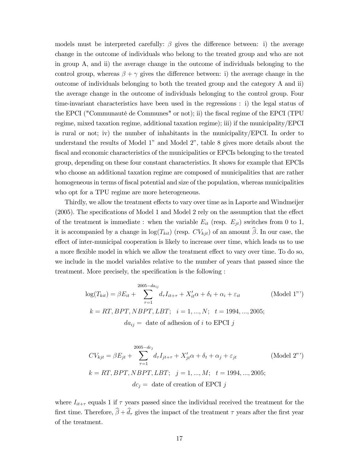models must be interpreted carefully:  $\beta$  gives the difference between: i) the average change in the outcome of individuals who belong to the treated group and who are not in group A, and ii) the average change in the outcome of individuals belonging to the control group, whereas  $\beta + \gamma$  gives the difference between: i) the average change in the outcome of individuals belonging to both the treated group and the category A and ii) the average change in the outcome of individuals belonging to the control group. Four time-invariant characteristics have been used in the regressions : i) the legal status of the EPCI ("Communauté de Communes" or not); ii) the fiscal regime of the EPCI (TPU regime, mixed taxation regime, additional taxation regime); iii) if the municipality/EPCI is rural or not; iv) the number of inhabitants in the municipality/EPCI. In order to understand the results of Model 1" and Model 2", table 8 gives more details about the fiscal and economic characteristics of the municipalities or EPCIs belonging to the treated group, depending on these four constant characteristics. It shows for example that EPCIs who choose an additional taxation regime are composed of municipalities that are rather homogeneous in terms of fiscal potential and size of the population, whereas municipalities who opt for a TPU regime are more heterogeneous.

Thirdly, we allow the treatment effects to vary over time as in Laporte and Windmeijer  $(2005)$ . The specifications of Model 1 and Model 2 rely on the assumption that the effect of the treatment is immediate : when the variable  $E_{it}$  (resp.  $E_{it}$ ) switches from 0 to 1, it is accompanied by a change in  $log(T_{kit})$  (resp.  $CV_{kjt}$ ) of an amount  $\hat{\beta}$ . In our case, the effect of inter-municipal cooperation is likely to increase over time, which leads us to use a more flexible model in which we allow the treatment effect to vary over time. To do so, we include in the model variables relative to the number of years that passed since the treatment. More precisely, the specification is the following :

$$
\log(T_{kit}) = \beta E_{it} + \sum_{\tau=1}^{2005 - da_{ij}} d_{\tau} I_{it+\tau} + X_{it}' \alpha + \delta_t + \alpha_i + \varepsilon_{it}
$$
 (Model 1")  
\n
$$
k = RT, BPT, NBPT, LBT; \quad i = 1, ..., N; \quad t = 1994, ..., 2005;
$$
  
\n
$$
da_{ij} = \text{date of adhesion of } i \text{ to EPCI } j
$$

$$
CV_{kjt} = \beta E_{jt} + \sum_{\tau=1}^{2005 - dc_j} d_{\tau} I_{jt+\tau} + X'_{jt}\alpha + \delta_t + \alpha_j + \varepsilon_{jt}
$$
 (Model 2")  
\n
$$
k = RT, BPT, NBPT, LBT; \quad j = 1, ..., M; \quad t = 1994, ..., 2005;
$$
  
\n
$$
dc_j = \text{date of creation of EPCI } j
$$

where  $I_{it+\tau}$  equals 1 if  $\tau$  years passed since the individual received the treatment for the first time. Therefore,  $\hat{\beta} + \hat{d}_{\tau}$  gives the impact of the treatment  $\tau$  years after the first year of the treatment.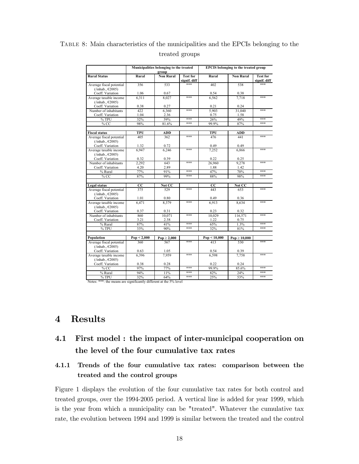|                                                                         |                 | Municipalities belonging to the treated<br>group |                                 |              | <b>EPCIS</b> belonging to the treated group |                                 |
|-------------------------------------------------------------------------|-----------------|--------------------------------------------------|---------------------------------|--------------|---------------------------------------------|---------------------------------|
| <b>Rural Status</b>                                                     | Rural           | <b>Non Rural</b>                                 | <b>Test for</b><br>signif. diff | Rural        | <b>Non Rural</b>                            | <b>Test for</b><br>signif. diff |
| Average fiscal potential<br>$(\text{inhab.}, \text{\textsterling}2005)$ | 356             | 533                                              | ***                             | 402          | 538                                         | ***                             |
| Coeff. Variation                                                        | 1.06            | 0.67                                             |                                 | 0.54         | 0.38                                        |                                 |
| Average taxable income<br>$(\text{inhab.}, \text{\textsterling}2005)$   | 6.311           | 8.027                                            | ***                             | 6.562        | 7.718                                       | ***                             |
| Coeff. Variation                                                        | 0.38            | 0.27                                             |                                 | 0.21         | 0.24                                        |                                 |
| Number of inhabitants                                                   | 422             | 6,360                                            | ***                             | 5.903        | 31,040                                      | ***                             |
| Coeff. Variation                                                        | 1.04            | 2.36                                             |                                 | 0.75         | 1.58                                        |                                 |
| % TPU                                                                   | 32%             | 59%                                              | ***                             | 26%          | 49%                                         | ***                             |
| %CC                                                                     | 98%             | 81.6%                                            | ***                             | 99.9%        | 87%                                         | ***                             |
|                                                                         |                 |                                                  |                                 |              |                                             |                                 |
| <b>Fiscal status</b>                                                    | TPU             | <b>ADD</b>                                       |                                 | TPU          | <b>ADD</b>                                  |                                 |
| Average fiscal potential<br>$(\text{inhab.}, \text{\textsterling}2005)$ | 405             | 362                                              | ***                             | 476          | 441                                         | ***                             |
| Coeff. Variation                                                        | 1.32            | 0.72                                             |                                 | 0.49         | 0.49                                        |                                 |
| Average taxable income<br>$(Iinhab., \epsilon 2005)$                    | 6947            | 6.246                                            | ***                             | 7.252        | 6.866                                       | ***                             |
| Coeff. Variation                                                        | 0.32            | 0.39                                             |                                 | 0.22         | 0.25                                        |                                 |
| Number of inhabitants                                                   | 2,292           | 643                                              | ***                             | 26,960       | 9,278                                       | ***                             |
| Coeff. Variation                                                        | 4.20            | 2.89                                             |                                 | 1.88         | 1.42                                        |                                 |
| % Rural                                                                 | 77%             | 91%                                              | ***                             | 47%          | 70%                                         | ***                             |
| %CC                                                                     | 87%             | 99%                                              | ***                             | 88%          | 98%                                         | ***                             |
|                                                                         |                 |                                                  |                                 |              |                                             |                                 |
| Legal status                                                            | $\overline{cc}$ | Not CC                                           |                                 | $_{\rm CC}$  | Not CC                                      |                                 |
| Average fiscal potential<br>$(\text{inhab.}, \text{\textsterling}2005)$ | 375             | 529                                              | ***                             | 443          | 653                                         | ***                             |
| Coeff. Variation                                                        | 1.01            | 0.80                                             |                                 | 0.49         | 0.36                                        |                                 |
| Average taxable income<br>$(\text{inhab.}, \text{\textsterling}2005)$   | 6.471           | 8.379                                            | ***                             | 6,913        | 8.634                                       | ***                             |
| Coeff. Variation                                                        | 0.37            | 0.31                                             |                                 | 0.23         | 0.32                                        |                                 |
| Number of inhabitants                                                   | 860             | 10.071                                           | ***                             | 10.029       | 116.571                                     | ***                             |
| Coeff. Variation                                                        | 3.21            | 2.38                                             |                                 | 1.22         | 0.75                                        |                                 |
| % Rural                                                                 | 87%             | 41%                                              | ***                             | 65%          | 1.3%                                        | ***                             |
| %TPU                                                                    | 33%             | 90%                                              | ***                             | 32%          | 81%                                         | ***                             |
|                                                                         |                 |                                                  |                                 |              |                                             |                                 |
| Population                                                              | Pop < 2,000     | $Pop \geq 2,000$                                 |                                 | Pop < 10,000 | $Pop \ge 10,000$                            |                                 |
| Average fiscal potential<br>$(\text{inhab.}, \text{\textsterling}2005)$ | 360             | 567                                              | ***                             | 413          | 530                                         | ***                             |
| Coeff. Variation                                                        | 0.63            | 1.05                                             |                                 | 0.54         | 0.39                                        |                                 |
| Average taxable income                                                  | 6.396           | 7.959                                            | ***                             | 6.598        | 7.758                                       | ***                             |
| $(Iinhab., \epsilon 2005)$                                              |                 |                                                  |                                 |              |                                             |                                 |
| Coeff. Variation                                                        | 0.38            | 0.28                                             |                                 | 0.22         | 0.24                                        |                                 |
| %CC                                                                     | 97%             | 77%                                              | ***                             | 99 9%        | 85.6%                                       | ***                             |
| % Rural                                                                 | 94%             | 11%                                              | ***                             | 82%          | 24%                                         | ***                             |
| % TPU                                                                   | 32%             | 64%                                              | ***                             | 25%          | 53%                                         | ***                             |
| Notes: ***: the means are significantly different at the 5% level       |                 |                                                  |                                 |              |                                             |                                 |

## Table 8: Main characteristics of the municipalities and the EPCIs belonging to the treated groups

## 4 Results

## 4.1 First model : the impact of inter-municipal cooperation on the level of the four cumulative tax rates

## 4.1.1 Trends of the four cumulative tax rates: comparison between the treated and the control groups

Figure 1 displays the evolution of the four cumulative tax rates for both control and treated groups, over the 1994-2005 period. A vertical line is added for year 1999, which is the year from which a municipality can be "treated". Whatever the cumulative tax rate, the evolution between 1994 and 1999 is similar between the treated and the control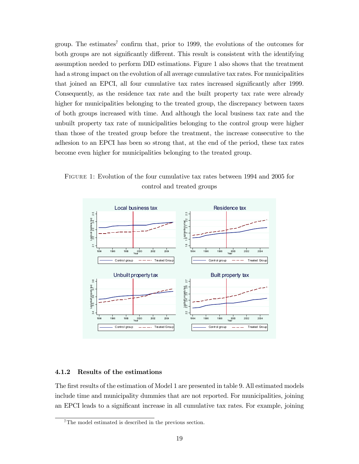group. The estimates<sup>7</sup> confirm that, prior to 1999, the evolutions of the outcomes for both groups are not significantly different. This result is consistent with the identifying assumption needed to perform DID estimations. Figure 1 also shows that the treatment had a strong impact on the evolution of all average cumulative tax rates. For municipalities that joined an EPCI, all four cumulative tax rates increased signicantly after 1999. Consequently, as the residence tax rate and the built property tax rate were already higher for municipalities belonging to the treated group, the discrepancy between taxes of both groups increased with time. And although the local business tax rate and the unbuilt property tax rate of municipalities belonging to the control group were higher than those of the treated group before the treatment, the increase consecutive to the adhesion to an EPCI has been so strong that, at the end of the period, these tax rates become even higher for municipalities belonging to the treated group.





#### 4.1.2 Results of the estimations

The first results of the estimation of Model 1 are presented in table 9. All estimated models include time and municipality dummies that are not reported. For municipalities, joining an EPCI leads to a signicant increase in all cumulative tax rates. For example, joining

<sup>&</sup>lt;sup>7</sup>The model estimated is described in the previous section.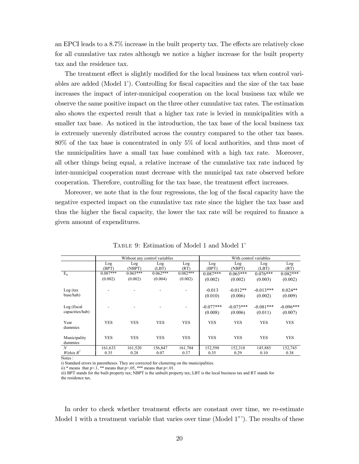an EPCI leads to a  $8.7\%$  increase in the built property tax. The effects are relatively close for all cumulative tax rates although we notice a higher increase for the built property tax and the residence tax.

The treatment effect is slightly modified for the local business tax when control variables are added  $(Mode 1')$ . Controlling for fiscal capacities and the size of the tax base increases the impact of inter-municipal cooperation on the local business tax while we observe the same positive impact on the three other cumulative tax rates. The estimation also shows the expected result that a higher tax rate is levied in municipalities with a smaller tax base. As noticed in the introduction, the tax base of the local business tax is extremely unevenly distributed across the country compared to the other tax bases. 80% of the tax base is concentrated in only 5% of local authorities, and thus most of the municipalities have a small tax base combined with a high tax rate. Moreover, all other things being equal, a relative increase of the cumulative tax rate induced by inter-municipal cooperation must decrease with the municipal tax rate observed before cooperation. Therefore, controlling for the tax base, the treatment effect increases.

Moreover, we note that in the four regressions, the log of the fiscal capacity have the negative expected impact on the cumulative tax rate since the higher the tax base and thus the higher the fiscal capacity, the lower the tax rate will be required to finance a given amount of expenditures.

|                 |            | Without any control variables |            |            |             |             | With control variables |             |
|-----------------|------------|-------------------------------|------------|------------|-------------|-------------|------------------------|-------------|
|                 | Log        | Log                           | Log        | Log        | Log         | Log         | Log                    | Log         |
|                 | (BPT)      | (NBPT)                        | (LBT)      | (RT)       | (BPT)       | (NBPT)      | (LBT)                  | (RT)        |
| $E_{it}$        | $0.087***$ | $0.065***$                    | $0.062***$ | $0.082***$ | $0.087***$  | $0.065***$  | $0.076***$             | $0.082***$  |
|                 | (0.002)    | (0.002)                       | (0.004)    | (0.002)    | (0.002)     | (0.002)     | (0.003)                | (0.002)     |
|                 |            |                               |            |            |             |             |                        |             |
| Log (tax)       |            |                               |            |            | $-0.013$    | $-0.012**$  | $-0.013***$            | $0.024**$   |
| base/hab)       |            |                               |            |            | (0.010)     | (0.006)     | (0.002)                | (0.009)     |
|                 |            |                               |            |            |             |             |                        |             |
| Log (fiscal     |            |                               |            |            | $-0.077***$ | $-0.073***$ | $-0.081***$            | $-0.096***$ |
| capacities/hab) |            |                               |            |            | (0.008)     | (0.006)     | (0.011)                | (0.007)     |
|                 |            |                               |            |            |             |             |                        |             |
| Year            | <b>YES</b> | <b>YES</b>                    | <b>YES</b> | <b>YES</b> | <b>YES</b>  | <b>YES</b>  | <b>YES</b>             | <b>YES</b>  |
| dummies         |            |                               |            |            |             |             |                        |             |
| Municipality    | <b>YES</b> | <b>YES</b>                    | <b>YES</b> | <b>YES</b> | <b>YES</b>  | <b>YES</b>  | <b>YES</b>             | <b>YES</b>  |
| dummies         |            |                               |            |            |             |             |                        |             |
| $\mathcal N$    | 161,633    | 161,520                       | 156,847    | 161,704    | 152,598     | 152,318     | 145,885                | 152,745     |
| Within $R^2$    | 0.35       | 0.28                          | 0.07       | 0.37       | 0.35        | 0.29        | 0.10                   | 0.38        |

Table 9: Estimation of Model 1 and Model 1

Notes :

i) Standard errors in parentheses. They are corrected for clustering on the municipalities.

ii) \* means that  $p< 1$ , \*\* means that  $p< 05$ , \*\*\* means that  $p< 01$ .

iii) BPT stands for the built property tax; NBPT is the unbuilt property tax; LBT is the local business tax and RT stands for the residence tax.

In order to check whether treatment effects are constant over time, we re-estimate Model 1 with a treatment variable that varies over time (Model 1"). The results of these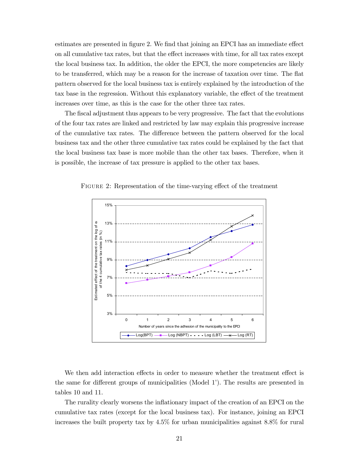estimates are presented in figure 2. We find that joining an EPCI has an immediate effect on all cumulative tax rates, but that the effect increases with time, for all tax rates except the local business tax. In addition, the older the EPCI, the more competencies are likely to be transferred, which may be a reason for the increase of taxation over time. The flat pattern observed for the local business tax is entirely explained by the introduction of the tax base in the regression. Without this explanatory variable, the effect of the treatment increases over time, as this is the case for the other three tax rates.

The fiscal adjustment thus appears to be very progressive. The fact that the evolutions of the four tax rates are linked and restricted by law may explain this progressive increase of the cumulative tax rates. The difference between the pattern observed for the local business tax and the other three cumulative tax rates could be explained by the fact that the local business tax base is more mobile than the other tax bases. Therefore, when it is possible, the increase of tax pressure is applied to the other tax bases.

FIGURE 2: Representation of the time-varying effect of the treatment



We then add interaction effects in order to measure whether the treatment effect is the same for different groups of municipalities (Model 1'). The results are presented in tables 10 and 11.

The rurality clearly worsens the inflationary impact of the creation of an EPCI on the cumulative tax rates (except for the local business tax). For instance, joining an EPCI increases the built property tax by 4.5% for urban municipalities against 8.8% for rural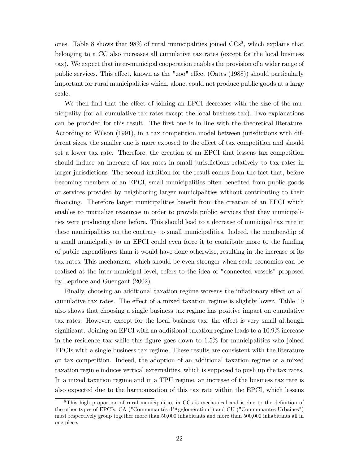ones. Table 8 shows that  $98\%$  of rural municipalities joined  $CCs<sup>8</sup>$ , which explains that belonging to a CC also increases all cumulative tax rates (except for the local business tax). We expect that inter-municipal cooperation enables the provision of a wider range of public services. This effect, known as the "zoo" effect (Oates (1988)) should particularly important for rural municipalities which, alone, could not produce public goods at a large scale.

We then find that the effect of joining an EPCI decreases with the size of the municipality (for all cumulative tax rates except the local business tax). Two explanations can be provided for this result. The first one is in line with the theoretical literature. According to Wilson (1991), in a tax competition model between jurisdictions with different sizes, the smaller one is more exposed to the effect of tax competition and should set a lower tax rate. Therefore, the creation of an EPCI that lessens tax competition should induce an increase of tax rates in small jurisdictions relatively to tax rates in larger jurisdictions The second intuition for the result comes from the fact that, before becoming members of an EPCI, small municipalities often benefited from public goods or services provided by neighboring larger municipalities without contributing to their financing. Therefore larger municipalities benefit from the creation of an EPCI which enables to mutualize resources in order to provide public services that they municipalities were producing alone before. This should lead to a decrease of municipal tax rate in these municipalities on the contrary to small municipalities. Indeed, the membership of a small municipality to an EPCI could even force it to contribute more to the funding of public expenditures than it would have done otherwise, resulting in the increase of its tax rates. This mechanism, which should be even stronger when scale economies can be realized at the inter-municipal level, refers to the idea of "connected vessels" proposed by Leprince and Guengant (2002).

Finally, choosing an additional taxation regime worsens the inflationary effect on all cumulative tax rates. The effect of a mixed taxation regime is slightly lower. Table 10 also shows that choosing a single business tax regime has positive impact on cumulative tax rates. However, except for the local business tax, the effect is very small although significant. Joining an EPCI with an additional taxation regime leads to a 10.9% increase in the residence tax while this figure goes down to  $1.5\%$  for municipalities who joined EPCIs with a single business tax regime. These results are consistent with the literature on tax competition. Indeed, the adoption of an additional taxation regime or a mixed taxation regime induces vertical externalities, which is supposed to push up the tax rates. In a mixed taxation regime and in a TPU regime, an increase of the business tax rate is also expected due to the harmonization of this tax rate within the EPCI, which lessens

<sup>&</sup>lt;sup>8</sup>This high proportion of rural municipalities in CCs is mechanical and is due to the definition of the other types of EPCIs. CA ("Communautés d'Agglomération") and CU ("Communautés Urbaines") must respectively group together more than 50,000 inhabitants and more than 500,000 inhabitants all in one piece.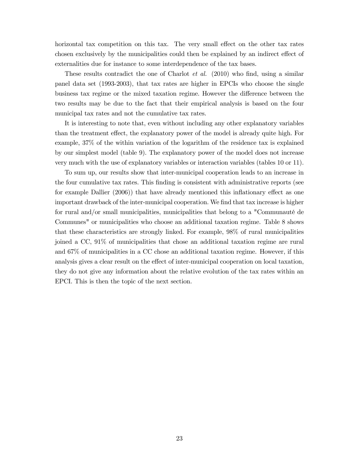horizontal tax competition on this tax. The very small effect on the other tax rates chosen exclusively by the municipalities could then be explained by an indirect effect of externalities due for instance to some interdependence of the tax bases.

These results contradict the one of Charlot *et al.* (2010) who find, using a similar panel data set (1993-2003), that tax rates are higher in EPCIs who choose the single business tax regime or the mixed taxation regime. However the difference between the two results may be due to the fact that their empirical analysis is based on the four municipal tax rates and not the cumulative tax rates.

It is interesting to note that, even without including any other explanatory variables than the treatment effect, the explanatory power of the model is already quite high. For example, 37% of the within variation of the logarithm of the residence tax is explained by our simplest model (table 9). The explanatory power of the model does not increase very much with the use of explanatory variables or interaction variables (tables 10 or 11).

To sum up, our results show that inter-municipal cooperation leads to an increase in the four cumulative tax rates. This finding is consistent with administrative reports (see for example Dallier  $(2006)$ ) that have already mentioned this inflationary effect as one important drawback of the inter-municipal cooperation. We find that tax increase is higher for rural and/or small municipalities, municipalities that belong to a "Communauté de Communes" or municipalities who choose an additional taxation regime. Table 8 shows that these characteristics are strongly linked. For example, 98% of rural municipalities joined a CC, 91% of municipalities that chose an additional taxation regime are rural and 67% of municipalities in a CC chose an additional taxation regime. However, if this analysis gives a clear result on the effect of inter-municipal cooperation on local taxation, they do not give any information about the relative evolution of the tax rates within an EPCI. This is then the topic of the next section.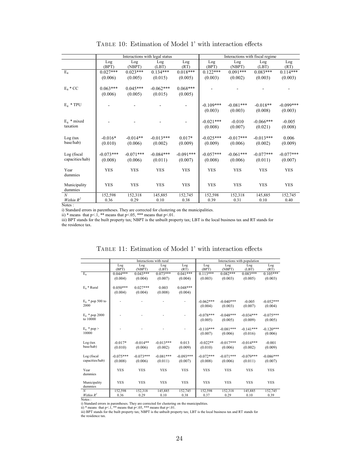|                  |              |               | Interactions with legal status |             | Interactions with fiscal regime<br>Log<br>Log<br>Log<br>(BPT)<br>(NBPT)<br>(LBT)<br>$0.122***$<br>$0.091***$<br>$0.083***$<br>(0.003)<br>(0.002)<br>(0.003)<br>$-0.109***$<br>$-0.081***$<br>$-0.018**$<br>(0.003)<br>(0.008)<br>(0.003)<br>$-0.021***$<br>$-0.010$<br>$-0.066***$<br>(0.008)<br>(0.007)<br>(0.021)<br>$-0.025***$<br>$-0.017***$<br>$-0.013***$<br>(0.009)<br>(0.006)<br>(0.002)<br>$-0.057***$<br>$-0.061***$<br>$-0.077***$<br>(0.006)<br>(0.011)<br>(0.008)<br>YES<br><b>YES</b><br><b>YES</b> |            |            |             |
|------------------|--------------|---------------|--------------------------------|-------------|--------------------------------------------------------------------------------------------------------------------------------------------------------------------------------------------------------------------------------------------------------------------------------------------------------------------------------------------------------------------------------------------------------------------------------------------------------------------------------------------------------------------|------------|------------|-------------|
|                  | Log<br>(BPT) | Log<br>(NBPT) | Log<br>(LBT)                   | Log<br>(RT) |                                                                                                                                                                                                                                                                                                                                                                                                                                                                                                                    |            |            | Log<br>(RT) |
| $E_{it}$         | $0.027***$   | $0.023***$    | $0.134***$                     | $0.018***$  |                                                                                                                                                                                                                                                                                                                                                                                                                                                                                                                    |            |            | $0.114***$  |
|                  | (0.006)      | (0.005)       | (0.015)                        | (0.005)     |                                                                                                                                                                                                                                                                                                                                                                                                                                                                                                                    |            |            | (0.003)     |
| $E_{it} * CC$    | $0.063***$   | $0.045***$    | $-0.062***$                    | $0.068***$  |                                                                                                                                                                                                                                                                                                                                                                                                                                                                                                                    |            |            |             |
|                  | (0.006)      | (0.005)       | (0.015)                        | (0.005)     |                                                                                                                                                                                                                                                                                                                                                                                                                                                                                                                    |            |            |             |
|                  |              |               |                                |             |                                                                                                                                                                                                                                                                                                                                                                                                                                                                                                                    |            |            |             |
| $E_{it}$ * TPU   |              |               |                                |             |                                                                                                                                                                                                                                                                                                                                                                                                                                                                                                                    |            |            | $-0.099***$ |
|                  |              |               |                                |             |                                                                                                                                                                                                                                                                                                                                                                                                                                                                                                                    |            |            | (0.003)     |
|                  |              |               |                                |             |                                                                                                                                                                                                                                                                                                                                                                                                                                                                                                                    |            |            |             |
| $E_{it}$ * mixed |              |               |                                |             |                                                                                                                                                                                                                                                                                                                                                                                                                                                                                                                    |            |            | $-0.005$    |
| taxation         |              |               |                                |             |                                                                                                                                                                                                                                                                                                                                                                                                                                                                                                                    |            |            | (0.008)     |
|                  |              |               |                                |             |                                                                                                                                                                                                                                                                                                                                                                                                                                                                                                                    |            |            |             |
| Log (tax)        | $-0.016*$    | $-0.014**$    | $-0.013***$                    | $0.017*$    |                                                                                                                                                                                                                                                                                                                                                                                                                                                                                                                    |            |            | 0.006       |
| base/hab)        | (0.010)      | (0.006)       | (0.002)                        | (0.009)     |                                                                                                                                                                                                                                                                                                                                                                                                                                                                                                                    |            |            | (0.009)     |
| Log (fiscal      | $-0.073***$  | $-0.071***$   | $-0.084***$                    | $-0.091***$ |                                                                                                                                                                                                                                                                                                                                                                                                                                                                                                                    |            |            | $-0.077***$ |
| capacities/hab)  | (0.008)      | (0.006)       | (0.011)                        | (0.007)     |                                                                                                                                                                                                                                                                                                                                                                                                                                                                                                                    |            |            | (0.007)     |
|                  |              |               |                                |             |                                                                                                                                                                                                                                                                                                                                                                                                                                                                                                                    |            |            |             |
| Year             | <b>YES</b>   | <b>YES</b>    | <b>YES</b>                     | <b>YES</b>  |                                                                                                                                                                                                                                                                                                                                                                                                                                                                                                                    |            |            | YES         |
| dummies          |              |               |                                |             |                                                                                                                                                                                                                                                                                                                                                                                                                                                                                                                    |            |            |             |
| Municipality     | <b>YES</b>   | <b>YES</b>    | <b>YES</b>                     | <b>YES</b>  | <b>YES</b>                                                                                                                                                                                                                                                                                                                                                                                                                                                                                                         | <b>YES</b> | <b>YES</b> | <b>YES</b>  |
| dummies          |              |               |                                |             |                                                                                                                                                                                                                                                                                                                                                                                                                                                                                                                    |            |            |             |
| N                | 152,598      | 152,318       | 145,885                        | 152,745     | 152,598                                                                                                                                                                                                                                                                                                                                                                                                                                                                                                            | 152,318    | 145,885    | 152,745     |
| Within $R^2$     | 0.36         | 0.29          | 0.10                           | 0.38        | 0.39                                                                                                                                                                                                                                                                                                                                                                                                                                                                                                               | 0.31       | 0.10       | 0.40        |

TABLE 10: Estimation of Model 1' with interaction effects

Notes :

i) Standard errors in parentheses. They are corrected for clustering on the municipalities.

ii) \* means that  $p<1$ , \*\* means that  $p<05$ , \*\*\* means that  $p<01$ .

iii) BPT stands for the built property tax; NBPT is the unbuilt property tax; LBT is the local business tax and RT stands for the residence tax.

|                                 |                        |                        | Interactions with rural |                        |                        |                        | Interactions with population |                        |
|---------------------------------|------------------------|------------------------|-------------------------|------------------------|------------------------|------------------------|------------------------------|------------------------|
|                                 | Log                    | Log                    | Log                     | Log                    | Log                    | Log                    | Log                          | Log                    |
|                                 | (BPT)                  | (NBPT)                 | (LBT)                   | (RT)                   | (BPT)                  | (NBPT)                 | (LBT)                        | (RT)                   |
| $E_{it}$                        | $0.044***$             | $0.043***$             | $0.073***$              | $0.041***$             | $0.113***$             | $0.082***$             | $0.083***$                   | $0.105***$             |
|                                 | (0.004)                | (0.004)                | (0.007)                 | (0.004)                | (0.003)                | (0.003)                | (0.005)                      | (0.003)                |
| $E_{it}$ * Rural                | $0.050***$             | $0.027***$             | 0.003                   | $0.048***$             |                        |                        |                              |                        |
|                                 | (0.004)                | (0.004)                | (0.008)                 | (0.004)                |                        |                        |                              |                        |
| $E_{it}$ * pop 500 to<br>2000   |                        |                        |                         |                        | $-0.062***$<br>(0.004) | $-0.040***$<br>(0.003) | $-0.005$<br>(0.007)          | $-0.052***$<br>(0.004) |
| $E_{it}$ * pop 2000<br>to 10000 |                        |                        |                         |                        | $-0.078***$<br>(0.005) | $-0.048***$<br>(0.005) | $-0.034***$<br>(0.009)       | $-0.075***$<br>(0.005) |
| $E_{it}$ * pop ><br>10000       |                        |                        |                         |                        | $-0.110***$<br>(0.007) | $-0.081***$<br>(0.006) | $-0.141***$<br>(0.016)       | $-0.120***$<br>(0.006) |
| Log (tax<br>base/hab)           | $-0.017*$<br>(0.010)   | $-0.014**$<br>(0.006)  | $-0.013***$<br>(0.002)  | 0.013<br>(0.009)       | $-0.022**$<br>(0.010)  | $-0.017***$<br>(0.006) | $-0.014***$<br>(0.002)       | $-0.001$<br>(0.009)    |
| Log (fiscal<br>capacities/hab)  | $-0.075***$<br>(0.008) | $-0.073***$<br>(0.006) | $-0.081***$<br>(0.011)  | $-0.093***$<br>(0.007) | $-0.072***$<br>(0.008) | $-0.071***$<br>(0.006) | $-0.079***$<br>(0.011)       | $-0.086***$<br>(0.007) |
| Year<br>dummies                 | <b>YES</b>             | <b>YES</b>             | <b>YES</b>              | <b>YES</b>             | <b>YES</b>             | <b>YES</b>             | <b>YES</b>                   | <b>YES</b>             |
| Municipality<br>dummies         | <b>YES</b>             | <b>YES</b>             | <b>YES</b>              | <b>YES</b>             | <b>YES</b>             | <b>YES</b>             | <b>YES</b>                   | <b>YES</b>             |
| $\mathcal N$                    | 152,598                | 152,318                | 145,885                 | 152,745                | 152,598                | 152,318                | 145,885                      | 152,745                |
| Within $R^2$                    | 0.36                   | 0.29                   | 0.10                    | 0.38                   | 0.37                   | 0.29                   | 0.10                         | 0.39                   |

TABLE 11: Estimation of Model 1' with interaction effects

i) Standard errors in parentheses. They are corrected for clustering on the municipalities.<br>ii) \* means that p<1, \*\*\* means that p<05, \*\*\*\* means that p<01.<br>iii) BPT stands for the built property tax; NBPT is the unbuilt p

the residence tax.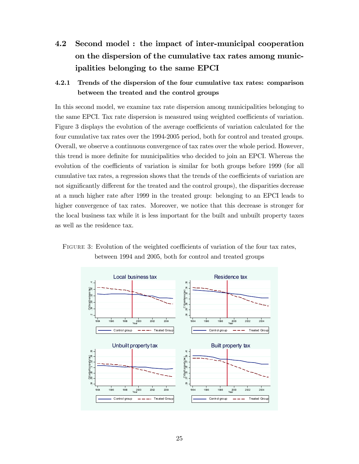4.2 Second model : the impact of inter-municipal cooperation on the dispersion of the cumulative tax rates among municipalities belonging to the same EPCI

## 4.2.1 Trends of the dispersion of the four cumulative tax rates: comparison between the treated and the control groups

In this second model, we examine tax rate dispersion among municipalities belonging to the same EPCI. Tax rate dispersion is measured using weighted coefficients of variation. Figure 3 displays the evolution of the average coefficients of variation calculated for the four cumulative tax rates over the 1994-2005 period, both for control and treated groups. Overall, we observe a continuous convergence of tax rates over the whole period. However, this trend is more denite for municipalities who decided to join an EPCI. Whereas the evolution of the coefficients of variation is similar for both groups before 1999 (for all cumulative tax rates, a regression shows that the trends of the coefficients of variation are not significantly different for the treated and the control groups), the disparities decrease at a much higher rate after 1999 in the treated group: belonging to an EPCI leads to higher convergence of tax rates. Moreover, we notice that this decrease is stronger for the local business tax while it is less important for the built and unbuilt property taxes as well as the residence tax.



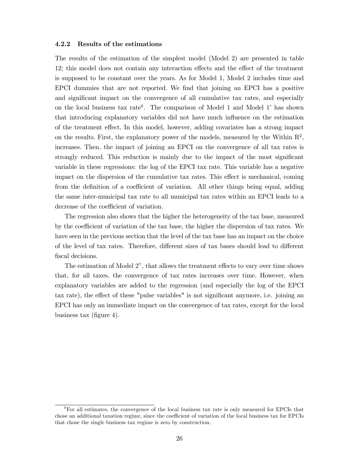#### 4.2.2 Results of the estimations

The results of the estimation of the simplest model (Model 2) are presented in table 12; this model does not contain any interaction effects and the effect of the treatment is supposed to be constant over the years. As for Model 1, Model 2 includes time and EPCI dummies that are not reported. We find that joining an EPCI has a positive and signicant impact on the convergence of all cumulative tax rates, and especially on the local business tax rate<sup>9</sup>. The comparison of Model 1 and Model 1' has shown that introducing explanatory variables did not have much influence on the estimation of the treatment effect. In this model, however, adding covariates has a strong impact on the results. First, the explanatory power of the models, measured by the Within  $\mathbb{R}^2$ , increases. Then, the impact of joining an EPCI on the convergence of all tax rates is strongly reduced. This reduction is mainly due to the impact of the most signicant variable in these regressions: the log of the EPCI tax rate. This variable has a negative impact on the dispersion of the cumulative tax rates. This effect is mechanical, coming from the definition of a coefficient of variation. All other things being equal, adding the same inter-municipal tax rate to all municipal tax rates within an EPCI leads to a decrease of the coefficient of variation.

The regression also shows that the higher the heterogeneity of the tax base, measured by the coefficient of variation of the tax base, the higher the dispersion of tax rates. We have seen in the previous section that the level of the tax base has an impact on the choice of the level of tax rates. Therefore, different sizes of tax bases should lead to different fiscal decisions.

The estimation of Model 2", that allows the treatment effects to vary over time shows that, for all taxes, the convergence of tax rates increases over time. However, when explanatory variables are added to the regression (and especially the log of the EPCI tax rate), the effect of these "pulse variables" is not significant anymore, i.e. joining an EPCI has only an immediate impact on the convergence of tax rates, except for the local business tax (figure 4).

<sup>&</sup>lt;sup>9</sup>For all estimates, the convergence of the local business tax rate is only measured for EPCIs that chose an additional taxation regime, since the coefficient of variation of the local business tax for EPCIs that chose the single business tax regime is zero by construction.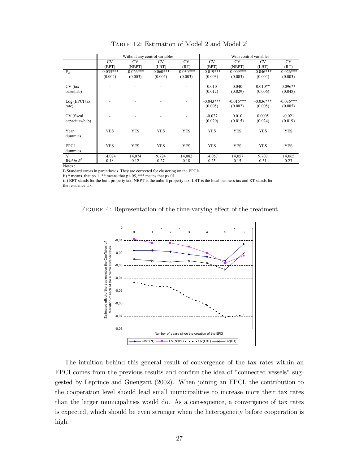|                        |             |             | Without any control variables |             |             |             | With control variables |             |
|------------------------|-------------|-------------|-------------------------------|-------------|-------------|-------------|------------------------|-------------|
|                        | <b>CV</b>   | <b>CV</b>   | <b>CV</b>                     | <b>CV</b>   | <b>CV</b>   | <b>CV</b>   | <b>CV</b>              | <b>CV</b>   |
|                        | (BPT)       | (NBPT)      | (LBT)                         | (RT)        | (BPT)       | (NBPT)      | (LBT)                  | (RT)        |
| $E_{it}$               | $-0.035***$ | $-0.026***$ | $-0.060***$                   | $-0.030***$ | $-0.019***$ | $-0.009***$ | $-0.046***$            | $-0.026***$ |
|                        | (0.004)     | (0.003)     | (0.005)                       | (0.003)     | (0.003)     | (0.003)     | (0.004)                | (0.003)     |
| $CV$ (tax              |             |             |                               |             | 0.010       | 0.040       | $0.010**$              | $0.096**$   |
| base/hab)              |             |             |                               |             | (0.012)     | (0.029)     | (0.006)                | (0.048)     |
| Log (EPCI tax          |             |             |                               |             | $-0.043***$ | $-0.016***$ | $-0.036***$            | $-0.036***$ |
| rate)                  |             |             |                               |             | (0.005)     | (0.002)     | (0.005)                | (0.005)     |
| CV (fiscal             |             |             |                               |             | $-0.027$    | 0.010       | 0.0005                 | $-0.021$    |
| capacities/hab)        |             |             |                               |             | (0.020)     | (0.015)     | (0.024)                | (0.019)     |
| Year<br>dummies        | <b>YES</b>  | <b>YES</b>  | <b>YES</b>                    | <b>YES</b>  | <b>YES</b>  | <b>YES</b>  | <b>YES</b>             | <b>YES</b>  |
| <b>EPCI</b><br>dummies | <b>YES</b>  | <b>YES</b>  | <b>YES</b>                    | <b>YES</b>  | <b>YES</b>  | <b>YES</b>  | <b>YES</b>             | <b>YES</b>  |
| N                      | 14,074      | 14,074      | 9,724                         | 14,082      | 14,057      | 14,057      | 9,707                  | 14,065      |
| Within $R^2$           | 0.18        | 0.12        | 0.27                          | 0.18        | 0.25        | 0.15        | 0.31                   | 0.23        |

Table 12: Estimation of Model 2 and Model 2

Notes :

i) Standard errors in parentheses. They are corrected for clustering on the EPCIs.

ii) \* means that  $p<1$ , \*\* means that  $p<05$ , \*\*\* means that  $p<01$ .

iii) BPT stands for the built property tax; NBPT is the unbuilt property tax; LBT is the local business tax and RT stands for the residence tax.

FIGURE 4: Representation of the time-varying effect of the treatment



The intuition behind this general result of convergence of the tax rates within an EPCI comes from the previous results and confirm the idea of "connected vessels" suggested by Leprince and Guengant (2002). When joining an EPCI, the contribution to the cooperation level should lead small municipalities to increase more their tax rates than the larger municipalities would do. As a consequence, a convergence of tax rates is expected, which should be even stronger when the heterogeneity before cooperation is high.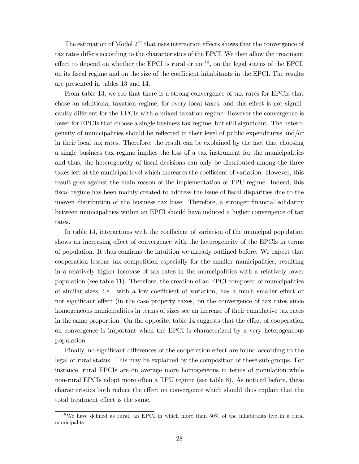The estimation of Model 2"' that uses interaction effects shows that the convergence of tax rates differs according to the characteristics of the EPCI. We then allow the treatment effect to depend on whether the EPCI is rural or  $not<sup>10</sup>$ , on the legal status of the EPCI, on its fiscal regime and on the size of the coefficient inhabitants in the EPCI. The results are presented in tables 13 and 14.

From table 13, we see that there is a strong convergence of tax rates for EPCIs that chose an additional taxation regime, for every local taxes, and this effect is not significantly different for the EPCIs with a mixed taxation regime. However the convergence is lower for EPCIs that choose a single business tax regime, but still significant. The heterogeneity of municipalities should be reflected in their level of public expenditures and/or in their local tax rates. Therefore, the result can be explained by the fact that choosing a single business tax regime implies the loss of a tax instrument for the municipalities and thus, the heterogeneity of fiscal decisions can only be distributed among the three taxes left at the municipal level which increases the coefficient of variation. However, this result goes against the main reason of the implementation of TPU regime. Indeed, this fiscal regime has been mainly created to address the issue of fiscal disparities due to the uneven distribution of the business tax base. Therefore, a stronger financial solidarity between municipalities within an EPCI should have induced a higher convergence of tax rates.

In table 14, interactions with the coefficient of variation of the municipal population shows an increasing effect of convergence with the heterogeneity of the EPCIs in terms of population. It thus confirms the intuition we already outlined before. We expect that cooperation lessens tax competition especially for the smaller municipalities, resulting in a relatively higher increase of tax rates in the municipalities with a relatively lower population (see table 11). Therefore, the creation of an EPCI composed of municipalities of similar sizes, i.e. with a low coefficient of variation, has a much smaller effect or not significant effect (in the case property taxes) on the convergence of tax rates since homogeneous municipalities in terms of sizes see an increase of their cumulative tax rates in the same proportion. On the opposite, table 14 suggests that the effect of cooperation on convergence is important when the EPCI is characterized by a very heterogeneous population.

Finally, no significant differences of the cooperation effect are found according to the legal or rural status. This may be explained by the composition of these sub-groups. For instance, rural EPCIs are on average more homogeneous in terms of population while non-rural EPCIs adopt more often a TPU regime (see table 8). As noticed before, these characteristics both reduce the effect on convergence which should thus explain that the total treatment effect is the same.

 $10$ We have defined as rural, an EPCI in which more than 50% of the inhabitants live in a rural municipality.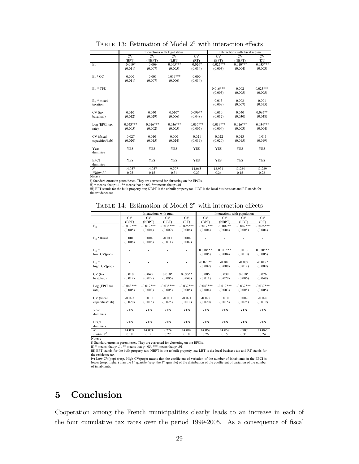| TABLE 13: Estimation of Model 2" with interaction effects |
|-----------------------------------------------------------|
|-----------------------------------------------------------|

|                                                                                                         | CV.         |
|---------------------------------------------------------------------------------------------------------|-------------|
| <b>CV</b><br><b>CV</b><br><b>CV</b><br><b>CV</b><br><b>CV</b><br><b>CV</b>                              |             |
| (RT)<br>(BPT)<br>(BPT)<br>(NBPT)<br>(LBT)<br>(NBPT)                                                     | (RT)        |
| $E_{it}$<br>$-0.065***$<br>$-0.019*$<br>$-0.026*$<br>$-0.025***$<br>$-0.010***$<br>$-0.009$             | $-0.033***$ |
| (0.011)<br>(0.007)<br>(0.005)<br>(0.014)<br>(0.003)<br>(0.004)                                          | (0.003)     |
|                                                                                                         |             |
| $E_{it} * CC$<br>0.000<br>$-0.001$<br>$0.019***$<br>0.000                                               |             |
| (0.007)<br>(0.011)<br>(0.006)<br>(0.014)                                                                |             |
|                                                                                                         |             |
| $0.016***$<br>0.002<br>$E_{it}$ * TPU                                                                   | $0.023***$  |
| (0.005)<br>(0.005)                                                                                      | (0.005)     |
| 0.013<br>0.003<br>$E_{it}$ * mixed                                                                      | 0.001       |
| (0.009)<br>(0.007)<br>taxation                                                                          | (0.015)     |
|                                                                                                         |             |
| 0.010<br>0.040<br>$0.010*$<br>$0.096**$<br>0.010<br>0.040<br>CV (tax                                    | $0.095**$   |
| base/hab)<br>(0.012)<br>(0.029)<br>(0.006)<br>(0.048)<br>(0.012)<br>(0.030)                             | (0.048)     |
|                                                                                                         |             |
| $-0.016***$<br>$-0.036***$<br>$-0.036***$<br>$-0.039***$<br>$-0.016***$<br>$-0.043***$<br>Log (EPCI tax | $-0.034***$ |
| (0.005)<br>(0.004)<br>(0.005)<br>(0.002)<br>(0.005)<br>(0.003)<br>rate)                                 | (0.004)     |
|                                                                                                         |             |
| $-0.027$<br>0.010<br>0.000<br>$-0.021$<br>$-0.022$<br>0.013<br>CV (fiscal                               | $-0.013$    |
| (0.015)<br>(0.015)<br>capacities/hab)<br>(0.020)<br>(0.024)<br>(0.019)<br>(0.020)                       | (0.019)     |
|                                                                                                         |             |
| <b>YES</b><br><b>YES</b><br><b>YES</b><br><b>YES</b><br><b>YES</b><br><b>YES</b><br>Year                | <b>YES</b>  |
| dummies                                                                                                 |             |
|                                                                                                         |             |
| <b>EPCI</b><br><b>YES</b><br><b>YES</b><br><b>YES</b><br><b>YES</b><br><b>YES</b><br><b>YES</b>         | <b>YES</b>  |
| dummies                                                                                                 |             |
| $\mathcal N$<br>14,057<br>9,707<br>13,934<br>14,057<br>14,065<br>13,934                                 | 13,939      |
| Within $R^2$<br>0.31<br>0.25<br>0.15<br>0.23<br>0.26<br>0.15<br>Matos c                                 | 0.23        |

Notes :<br>i) Standard errors in parentheses. They are corrected for clustering on the EPCIs.<br>ii) \* means that p<1, \*\* means that p<.05, \*\*\* means that p<.01.<br>iii) BPT stands for the built property tax; NBPT is the unbuilt pr the residence tax.

|  | TABLE 14: Estimation of Model 2" with interaction effects |  |  |  |  |
|--|-----------------------------------------------------------|--|--|--|--|
|--|-----------------------------------------------------------|--|--|--|--|

|                                                                                                                               | Interactions with rural |             |             | Interactions with population |             |             |             |             |
|-------------------------------------------------------------------------------------------------------------------------------|-------------------------|-------------|-------------|------------------------------|-------------|-------------|-------------|-------------|
|                                                                                                                               | <b>CV</b>               | <b>CV</b>   | CV.         | <b>CV</b>                    | <b>CV</b>   | CV          | CV          | <b>CV</b>   |
|                                                                                                                               | (BPT)                   | (NBPT)      | (LBT)       | (RT)                         | (BPT)       | (NBPT)      | (LBT)       | (RT)        |
| $E_{it}$                                                                                                                      | $-0.019***$             | $-0.012***$ | $-0.038***$ | $-0.028***$                  | $-0.017***$ | $-0.009**$  | $-0.047***$ | $-0.026***$ |
|                                                                                                                               | (0.005)                 | (0.004)     | (0.009)     | (0.006)                      | (0.004)     | (0.004)     | (0.005)     | (0.004)     |
|                                                                                                                               |                         |             |             |                              |             |             |             |             |
| $E_{it}$ * Rural                                                                                                              | 0.001                   | 0.004       | $-0.011$    | 0.004                        |             |             |             |             |
|                                                                                                                               | (0.006)                 | (0.006)     | (0.011)     | (0.007)                      |             |             |             |             |
|                                                                                                                               |                         |             |             |                              |             |             |             |             |
| $E_{\dot{x}}$ *                                                                                                               |                         |             |             |                              | $0.018***$  | $0.011***$  | 0.013       | $0.020***$  |
| low_CV(pop)                                                                                                                   |                         |             |             |                              | (0.005)     | (0.004)     | (0.010)     | (0.005)     |
|                                                                                                                               |                         |             |             |                              |             |             |             |             |
| $E_{it}$ *                                                                                                                    |                         |             |             |                              | $-0.023**$  | $-0.010$    | $-0.009$    | $-0.017*$   |
| high CV(pop)                                                                                                                  |                         |             |             |                              | (0.009)     | (0.008)     | (0.012)     | (0.009)     |
|                                                                                                                               |                         |             |             | $0.095**$                    |             |             | $0.010*$    |             |
| CV (tax                                                                                                                       | 0.010                   | 0.040       | $0.010*$    |                              | 0.006       | 0.039       |             | 0.076       |
| base/hab)                                                                                                                     | (0.012)                 | (0.029)     | (0.006)     | (0.048)                      | (0.011)     | (0.029)     | (0.006)     | (0.048)     |
| Log (EPCI tax                                                                                                                 | $-0.043***$             | $-0.017***$ | $-0.035***$ | $-0.037***$                  | $-0.043***$ | $-0.017***$ | $-0.037***$ | $-0.037***$ |
| rate)                                                                                                                         | (0.005)                 | (0.003)     | (0.005)     | (0.005)                      | (0.004)     | (0.003)     | (0.005)     | (0.005)     |
|                                                                                                                               |                         |             |             |                              |             |             |             |             |
| CV (fiscal                                                                                                                    | $-0.027$                | 0.010       | $-0.001$    | $-0.021$                     | $-0.025$    | 0.010       | 0.002       | $-0.020$    |
| capacities/hab)                                                                                                               | (0.020)                 | (0.015)     | (0.025)     | (0.019)                      | (0.020)     | (0.015)     | (0.025)     | (0.019)     |
|                                                                                                                               |                         |             |             |                              |             |             |             |             |
| Year                                                                                                                          | <b>YES</b>              | <b>YES</b>  | <b>YES</b>  | <b>YES</b>                   | <b>YES</b>  | <b>YES</b>  | <b>YES</b>  | <b>YES</b>  |
| dummies                                                                                                                       |                         |             |             |                              |             |             |             |             |
|                                                                                                                               |                         |             |             |                              |             |             |             |             |
| <b>EPCI</b>                                                                                                                   | <b>YES</b>              | <b>YES</b>  | <b>YES</b>  | <b>YES</b>                   | <b>YES</b>  | <b>YES</b>  | <b>YES</b>  | <b>YES</b>  |
| dummies                                                                                                                       |                         |             |             |                              |             |             |             |             |
| $\mathcal N$                                                                                                                  | 14,074                  | 14,074      | 9,724       | 14,082                       | 14,057      | 14,057      | 9,707       | 14,065      |
| Within $R^2$                                                                                                                  | 0.18                    | 0.12        | 0.27        | 0.18                         | 0.26        | 0.15        | 0.31        | 0.24        |
| Notes:                                                                                                                        |                         |             |             |                              |             |             |             |             |
| i) Standard errors in parentheses. They are corrected for clustering on the EPCIs.                                            |                         |             |             |                              |             |             |             |             |
| ii) * means that $p<1$ , ** means that $p<.05$ , *** means that $p<.01$ .                                                     |                         |             |             |                              |             |             |             |             |
| iii) BPT stands for the built property tax; NBPT is the unbuilt property tax; LBT is the local business tax and RT stands for |                         |             |             |                              |             |             |             |             |

the residence tax.

iv) Low CV(pop) (resp. High CV(pop)) means that the coefficient of variation of the number of inhabitants in the EPCI is<br>lower (resp. higher) than the 1<sup>st</sup> quartile (resp. the 3<sup>rd</sup> quartile) of the distribution of the co

# 5 Conclusion

Cooperation among the French municipalities clearly leads to an increase in each of the four cumulative tax rates over the period 1999-2005. As a consequence of fiscal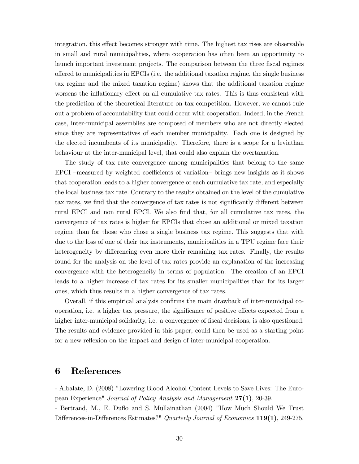integration, this effect becomes stronger with time. The highest tax rises are observable in small and rural municipalities, where cooperation has often been an opportunity to launch important investment projects. The comparison between the three fiscal regimes offered to municipalities in EPCIs (i.e. the additional taxation regime, the single business tax regime and the mixed taxation regime) shows that the additional taxation regime worsens the inflationary effect on all cumulative tax rates. This is thus consistent with the prediction of the theoretical literature on tax competition. However, we cannot rule out a problem of accountability that could occur with cooperation. Indeed, in the French case, inter-municipal assemblies are composed of members who are not directly elected since they are representatives of each member municipality. Each one is designed by the elected incumbents of its municipality. Therefore, there is a scope for a leviathan behaviour at the inter-municipal level, that could also explain the overtaxation.

The study of tax rate convergence among municipalities that belong to the same EPCI -measured by weighted coefficients of variation- brings new insights as it shows that cooperation leads to a higher convergence of each cumulative tax rate, and especially the local business tax rate. Contrary to the results obtained on the level of the cumulative tax rates, we find that the convergence of tax rates is not significantly different between rural EPCI and non rural EPCI. We also find that, for all cumulative tax rates, the convergence of tax rates is higher for EPCIs that chose an additional or mixed taxation regime than for those who chose a single business tax regime. This suggests that with due to the loss of one of their tax instruments, municipalities in a TPU regime face their heterogeneity by differencing even more their remaining tax rates. Finally, the results found for the analysis on the level of tax rates provide an explanation of the increasing convergence with the heterogeneity in terms of population. The creation of an EPCI leads to a higher increase of tax rates for its smaller municipalities than for its larger ones, which thus results in a higher convergence of tax rates.

Overall, if this empirical analysis confirms the main drawback of inter-municipal cooperation, i.e. a higher tax pressure, the significance of positive effects expected from a higher inter-municipal solidarity, i.e. a convergence of fiscal decisions, is also questioned. The results and evidence provided in this paper, could then be used as a starting point for a new reflexion on the impact and design of inter-municipal cooperation.

## 6 References

- Albalate, D. (2008) "Lowering Blood Alcohol Content Levels to Save Lives: The European Experience" Journal of Policy Analysis and Management 27(1), 20-39.

- Bertrand, M., E. Duflo and S. Mullainathan (2004) "How Much Should We Trust Differences-in-Differences Estimates?" Quarterly Journal of Economics 119(1), 249-275.